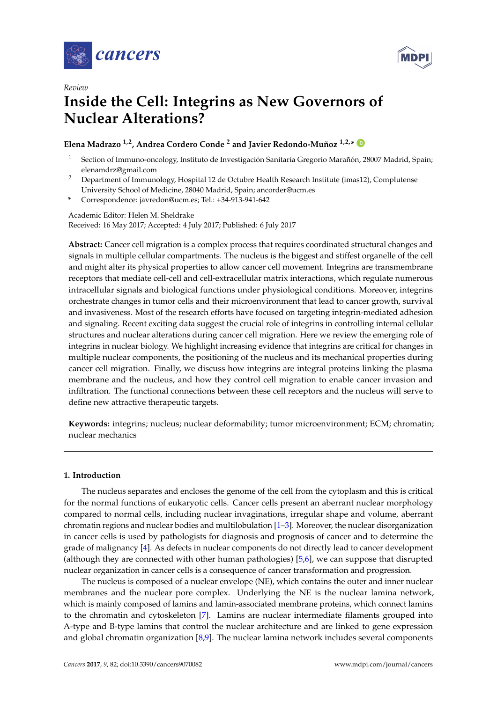



# *Review* **Inside the Cell: Integrins as New Governors of Nuclear Alterations?**

# **Elena Madrazo 1,2, Andrea Cordero Conde <sup>2</sup> and Javier Redondo-Muñoz 1,2,\***

- <sup>1</sup> Section of Immuno-oncology, Instituto de Investigación Sanitaria Gregorio Marañón, 28007 Madrid, Spain; elenamdrz@gmail.com
- <sup>2</sup> Department of Immunology, Hospital 12 de Octubre Health Research Institute (imas12), Complutense University School of Medicine, 28040 Madrid, Spain; ancorder@ucm.es
- **\*** Correspondence: javredon@ucm.es; Tel.: +34-913-941-642

Academic Editor: Helen M. Sheldrake Received: 16 May 2017; Accepted: 4 July 2017; Published: 6 July 2017

**Abstract:** Cancer cell migration is a complex process that requires coordinated structural changes and signals in multiple cellular compartments. The nucleus is the biggest and stiffest organelle of the cell and might alter its physical properties to allow cancer cell movement. Integrins are transmembrane receptors that mediate cell-cell and cell-extracellular matrix interactions, which regulate numerous intracellular signals and biological functions under physiological conditions. Moreover, integrins orchestrate changes in tumor cells and their microenvironment that lead to cancer growth, survival and invasiveness. Most of the research efforts have focused on targeting integrin-mediated adhesion and signaling. Recent exciting data suggest the crucial role of integrins in controlling internal cellular structures and nuclear alterations during cancer cell migration. Here we review the emerging role of integrins in nuclear biology. We highlight increasing evidence that integrins are critical for changes in multiple nuclear components, the positioning of the nucleus and its mechanical properties during cancer cell migration. Finally, we discuss how integrins are integral proteins linking the plasma membrane and the nucleus, and how they control cell migration to enable cancer invasion and infiltration. The functional connections between these cell receptors and the nucleus will serve to define new attractive therapeutic targets.

**Keywords:** integrins; nucleus; nuclear deformability; tumor microenvironment; ECM; chromatin; nuclear mechanics

# **1. Introduction**

The nucleus separates and encloses the genome of the cell from the cytoplasm and this is critical for the normal functions of eukaryotic cells. Cancer cells present an aberrant nuclear morphology compared to normal cells, including nuclear invaginations, irregular shape and volume, aberrant chromatin regions and nuclear bodies and multilobulation [\[1](#page-9-0)[–3\]](#page-9-1). Moreover, the nuclear disorganization in cancer cells is used by pathologists for diagnosis and prognosis of cancer and to determine the grade of malignancy [\[4\]](#page-9-2). As defects in nuclear components do not directly lead to cancer development (although they are connected with other human pathologies) [\[5](#page-9-3)[,6\]](#page-9-4), we can suppose that disrupted nuclear organization in cancer cells is a consequence of cancer transformation and progression.

The nucleus is composed of a nuclear envelope (NE), which contains the outer and inner nuclear membranes and the nuclear pore complex. Underlying the NE is the nuclear lamina network, which is mainly composed of lamins and lamin-associated membrane proteins, which connect lamins to the chromatin and cytoskeleton [\[7\]](#page-9-5). Lamins are nuclear intermediate filaments grouped into A-type and B-type lamins that control the nuclear architecture and are linked to gene expression and global chromatin organization [\[8,](#page-9-6)[9\]](#page-9-7). The nuclear lamina network includes several components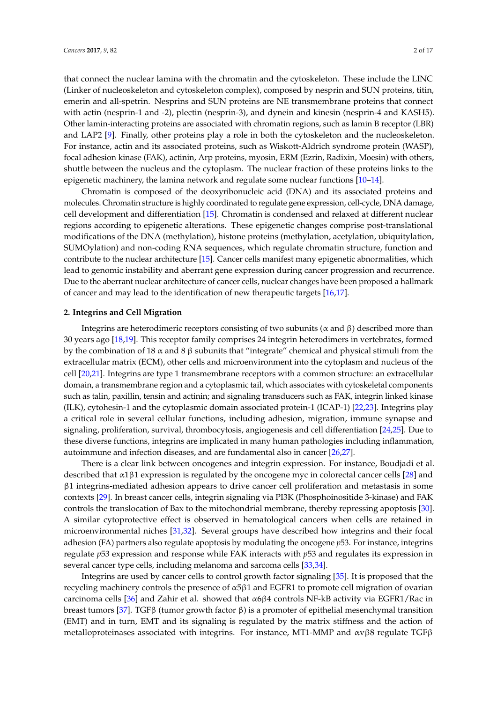that connect the nuclear lamina with the chromatin and the cytoskeleton. These include the LINC (Linker of nucleoskeleton and cytoskeleton complex), composed by nesprin and SUN proteins, titin, emerin and all-spetrin. Nesprins and SUN proteins are NE transmembrane proteins that connect with actin (nesprin-1 and -2), plectin (nesprin-3), and dynein and kinesin (nesprin-4 and KASH5). Other lamin-interacting proteins are associated with chromatin regions, such as lamin B receptor (LBR) and LAP2 [\[9\]](#page-9-7). Finally, other proteins play a role in both the cytoskeleton and the nucleoskeleton. For instance, actin and its associated proteins, such as Wiskott-Aldrich syndrome protein (WASP), focal adhesion kinase (FAK), actinin, Arp proteins, myosin, ERM (Ezrin, Radixin, Moesin) with others, shuttle between the nucleus and the cytoplasm. The nuclear fraction of these proteins links to the epigenetic machinery, the lamina network and regulate some nuclear functions [\[10](#page-9-8)[–14\]](#page-9-9).

Chromatin is composed of the deoxyribonucleic acid (DNA) and its associated proteins and molecules. Chromatin structure is highly coordinated to regulate gene expression, cell-cycle, DNA damage, cell development and differentiation [\[15\]](#page-9-10). Chromatin is condensed and relaxed at different nuclear regions according to epigenetic alterations. These epigenetic changes comprise post-translational modifications of the DNA (methylation), histone proteins (methylation, acetylation, ubiquitylation, SUMOylation) and non-coding RNA sequences, which regulate chromatin structure, function and contribute to the nuclear architecture [\[15\]](#page-9-10). Cancer cells manifest many epigenetic abnormalities, which lead to genomic instability and aberrant gene expression during cancer progression and recurrence. Due to the aberrant nuclear architecture of cancer cells, nuclear changes have been proposed a hallmark of cancer and may lead to the identification of new therapeutic targets [\[16,](#page-9-11)[17\]](#page-9-12).

#### **2. Integrins and Cell Migration**

Integrins are heterodimeric receptors consisting of two subunits (α and β) described more than 30 years ago [\[18,](#page-10-0)[19\]](#page-10-1). This receptor family comprises 24 integrin heterodimers in vertebrates, formed by the combination of 18  $\alpha$  and 8  $\beta$  subunits that "integrate" chemical and physical stimuli from the extracellular matrix (ECM), other cells and microenvironment into the cytoplasm and nucleus of the cell [\[20](#page-10-2)[,21\]](#page-10-3). Integrins are type 1 transmembrane receptors with a common structure: an extracellular domain, a transmembrane region and a cytoplasmic tail, which associates with cytoskeletal components such as talin, paxillin, tensin and actinin; and signaling transducers such as FAK, integrin linked kinase (ILK), cytohesin-1 and the cytoplasmic domain associated protein-1 (ICAP-1) [\[22](#page-10-4)[,23\]](#page-10-5). Integrins play a critical role in several cellular functions, including adhesion, migration, immune synapse and signaling, proliferation, survival, thrombocytosis, angiogenesis and cell differentiation [\[24,](#page-10-6)[25\]](#page-10-7). Due to these diverse functions, integrins are implicated in many human pathologies including inflammation, autoimmune and infection diseases, and are fundamental also in cancer [\[26,](#page-10-8)[27\]](#page-10-9).

There is a clear link between oncogenes and integrin expression. For instance, Boudjadi et al. described that  $\alpha$ 1 $\beta$ 1 expression is regulated by the oncogene myc in colorectal cancer cells [\[28\]](#page-10-10) and β1 integrins-mediated adhesion appears to drive cancer cell proliferation and metastasis in some contexts [\[29\]](#page-10-11). In breast cancer cells, integrin signaling via PI3K (Phosphoinositide 3-kinase) and FAK controls the translocation of Bax to the mitochondrial membrane, thereby repressing apoptosis [\[30\]](#page-10-12). A similar cytoprotective effect is observed in hematological cancers when cells are retained in microenvironmental niches [\[31,](#page-10-13)[32\]](#page-10-14). Several groups have described how integrins and their focal adhesion (FA) partners also regulate apoptosis by modulating the oncogene *p*53. For instance, integrins regulate *p*53 expression and response while FAK interacts with *p*53 and regulates its expression in several cancer type cells, including melanoma and sarcoma cells [\[33,](#page-10-15)[34\]](#page-10-16).

Integrins are used by cancer cells to control growth factor signaling [\[35\]](#page-10-17). It is proposed that the recycling machinery controls the presence of α5β1 and EGFR1 to promote cell migration of ovarian carcinoma cells [\[36\]](#page-10-18) and Zahir et al. showed that  $\alpha$ 6 $\beta$ 4 controls NF-kB activity via EGFR1/Rac in breast tumors [\[37\]](#page-10-19). TGFβ (tumor growth factor β) is a promoter of epithelial mesenchymal transition (EMT) and in turn, EMT and its signaling is regulated by the matrix stiffness and the action of metalloproteinases associated with integrins. For instance, MT1-MMP and  $\alpha v \beta \delta$  regulate TGF $\beta$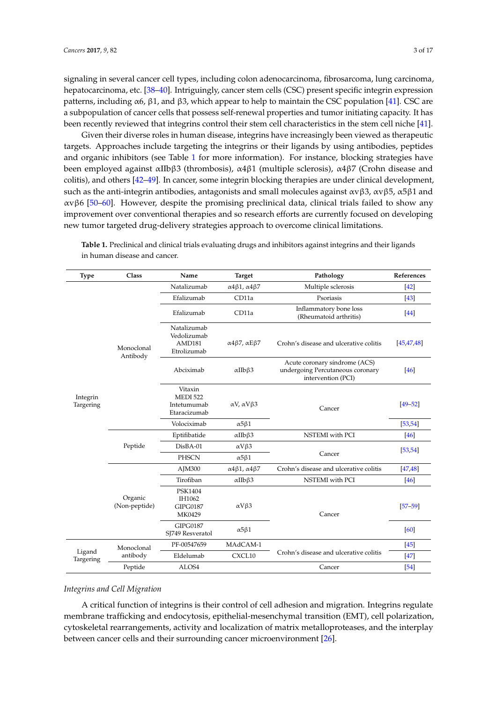signaling in several cancer cell types, including colon adenocarcinoma, fibrosarcoma, lung carcinoma, hepatocarcinoma, etc. [\[38–](#page-10-20)[40\]](#page-11-0). Intriguingly, cancer stem cells (CSC) present specific integrin expression patterns, including α6, β1, and β3, which appear to help to maintain the CSC population [\[41\]](#page-11-1). CSC are a subpopulation of cancer cells that possess self-renewal properties and tumor initiating capacity. It has been recently reviewed that integrins control their stem cell characteristics in the stem cell niche [\[41\]](#page-11-1).

Given their diverse roles in human disease, integrins have increasingly been viewed as therapeutic targets. Approaches include targeting the integrins or their ligands by using antibodies, peptides and organic inhibitors (see Table [1](#page-2-0) for more information). For instance, blocking strategies have been employed against αIIbβ3 (thrombosis), α4β1 (multiple sclerosis), α4β7 (Crohn disease and colitis), and others [\[42–](#page-11-2)[49\]](#page-11-3). In cancer, some integrin blocking therapies are under clinical development, such as the anti-integrin antibodies, antagonists and small molecules against  $\alpha$ vβ3,  $\alpha$ νβ5,  $\alpha$ 5β1 and αvβ6 [\[50](#page-11-4)[–60\]](#page-12-0). However, despite the promising preclinical data, clinical trials failed to show any improvement over conventional therapies and so research efforts are currently focused on developing new tumor targeted drug-delivery strategies approach to overcome clinical limitations.

| <b>Type</b>           | Class                    | Name                                                      | <b>Target</b>                              | Pathology                                                                               | References   |
|-----------------------|--------------------------|-----------------------------------------------------------|--------------------------------------------|-----------------------------------------------------------------------------------------|--------------|
| Integrin<br>Targering | Monoclonal<br>Antibody   | Natalizumab                                               | $\alpha$ 4 $\beta$ 1, $\alpha$ 4 $\beta$ 7 | Multiple sclerosis                                                                      | $[42]$       |
|                       |                          | Efalizumab                                                | CD11a                                      | Psoriasis                                                                               | [43]         |
|                       |                          | Efalizumab                                                | CD11a                                      | Inflammatory bone loss<br>(Rheumatoid arthritis)                                        | $[44]$       |
|                       |                          | Natalizumab<br>Vedolizumab<br>AMD181<br>Etrolizumab       | $\alpha$ 4 $\beta$ 7, $\alpha$ E $\beta$ 7 | Crohn's disease and ulcerative colitis                                                  | [45, 47, 48] |
|                       |                          | Abciximab                                                 | $\alpha$ IIb $\beta$ 3                     | Acute coronary síndrome (ACS)<br>undergoing Percutaneous coronary<br>intervention (PCI) | $[46]$       |
|                       |                          | Vitaxin<br><b>MEDI 522</b><br>Intetumumab<br>Etaracizumab | αV, αVβ3                                   | Cancer                                                                                  | $[49 - 52]$  |
|                       |                          | Volociximab                                               | $\alpha$ 5 $\beta$ 1                       |                                                                                         | [53, 54]     |
|                       | Peptide                  | Eptifibatide                                              | $\alpha$ IIb $\beta$ 3                     | NSTEMI with PCI                                                                         | $[46]$       |
|                       |                          | DisBA-01                                                  | $\alpha V\beta3$                           |                                                                                         | [53, 54]     |
|                       |                          | PHSCN                                                     | $\alpha$ 5 $\beta$ 1                       | Cancer                                                                                  |              |
|                       | Organic<br>(Non-peptide) | AJM300                                                    | $\alpha$ 4 $\beta$ 1, $\alpha$ 4 $\beta$ 7 | Crohn's disease and ulcerative colitis                                                  | [47, 48]     |
|                       |                          | Tirofiban                                                 | $\alpha$ IIb $\beta$ 3                     | NSTEMI with PCI                                                                         | $[46]$       |
|                       |                          | PSK1404<br>IH1062<br><b>GIPG0187</b><br>MK0429            | $\alpha V\beta3$                           | Cancer                                                                                  | $[57 - 59]$  |
|                       |                          | <b>GIPG0187</b><br>SJ749 Resveratol                       | $\alpha$ 5 $\beta$ 1                       |                                                                                         | [60]         |
| Ligand<br>Targering   | Monoclonal<br>antibody   | PF-00547659                                               | MAdCAM-1                                   |                                                                                         | $\sqrt{45}$  |
|                       |                          | Eldelumab                                                 | CXCL10                                     | Crohn's disease and ulcerative colitis                                                  | $[47]$       |
|                       | Peptide                  | ALOS4                                                     |                                            | Cancer                                                                                  | $[54]$       |

<span id="page-2-0"></span>**Table 1.** Preclinical and clinical trials evaluating drugs and inhibitors against integrins and their ligands in human disease and cancer.

#### *Integrins and Cell Migration*

A critical function of integrins is their control of cell adhesion and migration. Integrins regulate membrane trafficking and endocytosis, epithelial-mesenchymal transition (EMT), cell polarization, cytoskeletal rearrangements, activity and localization of matrix metalloproteases, and the interplay between cancer cells and their surrounding cancer microenvironment [\[26\]](#page-10-8).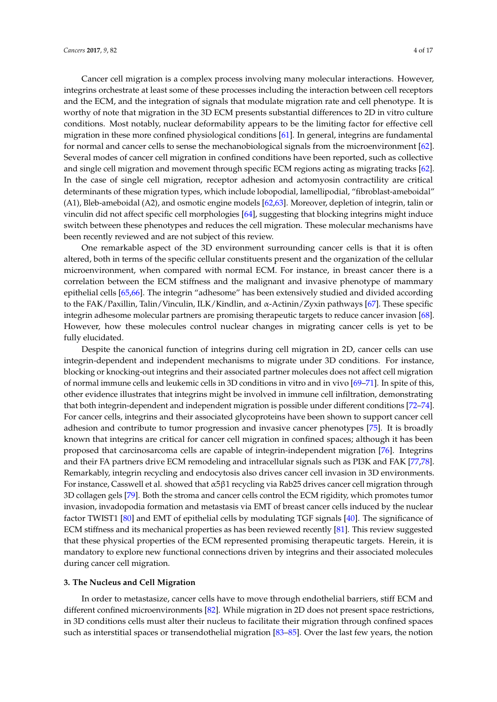Cancer cell migration is a complex process involving many molecular interactions. However, integrins orchestrate at least some of these processes including the interaction between cell receptors and the ECM, and the integration of signals that modulate migration rate and cell phenotype. It is worthy of note that migration in the 3D ECM presents substantial differences to 2D in vitro culture conditions. Most notably, nuclear deformability appears to be the limiting factor for effective cell migration in these more confined physiological conditions [\[61\]](#page-12-2). In general, integrins are fundamental for normal and cancer cells to sense the mechanobiological signals from the microenvironment [\[62\]](#page-12-3). Several modes of cancer cell migration in confined conditions have been reported, such as collective and single cell migration and movement through specific ECM regions acting as migrating tracks [\[62\]](#page-12-3). In the case of single cell migration, receptor adhesion and actomyosin contractility are critical determinants of these migration types, which include lobopodial, lamellipodial, "fibroblast-ameboidal" (A1), Bleb-ameboidal (A2), and osmotic engine models [\[62,](#page-12-3)[63\]](#page-12-4). Moreover, depletion of integrin, talin or vinculin did not affect specific cell morphologies [\[64\]](#page-12-5), suggesting that blocking integrins might induce switch between these phenotypes and reduces the cell migration. These molecular mechanisms have been recently reviewed and are not subject of this review.

One remarkable aspect of the 3D environment surrounding cancer cells is that it is often altered, both in terms of the specific cellular constituents present and the organization of the cellular microenvironment, when compared with normal ECM. For instance, in breast cancer there is a correlation between the ECM stiffness and the malignant and invasive phenotype of mammary epithelial cells [\[65,](#page-12-6)[66\]](#page-12-7). The integrin "adhesome" has been extensively studied and divided according to the FAK/Paxillin, Talin/Vinculin, ILK/Kindlin, and α-Actinin/Zyxin pathways [\[67\]](#page-12-8). These specific integrin adhesome molecular partners are promising therapeutic targets to reduce cancer invasion [\[68\]](#page-12-9). However, how these molecules control nuclear changes in migrating cancer cells is yet to be fully elucidated.

Despite the canonical function of integrins during cell migration in 2D, cancer cells can use integrin-dependent and independent mechanisms to migrate under 3D conditions. For instance, blocking or knocking-out integrins and their associated partner molecules does not affect cell migration of normal immune cells and leukemic cells in 3D conditions in vitro and in vivo [\[69](#page-12-10)[–71\]](#page-12-11). In spite of this, other evidence illustrates that integrins might be involved in immune cell infiltration, demonstrating that both integrin-dependent and independent migration is possible under different conditions [\[72–](#page-12-12)[74\]](#page-12-13). For cancer cells, integrins and their associated glycoproteins have been shown to support cancer cell adhesion and contribute to tumor progression and invasive cancer phenotypes [\[75\]](#page-12-14). It is broadly known that integrins are critical for cancer cell migration in confined spaces; although it has been proposed that carcinosarcoma cells are capable of integrin-independent migration [\[76\]](#page-12-15). Integrins and their FA partners drive ECM remodeling and intracellular signals such as PI3K and FAK [\[77,](#page-13-0)[78\]](#page-13-1). Remarkably, integrin recycling and endocytosis also drives cancer cell invasion in 3D environments. For instance, Casswell et al. showed that α5β1 recycling via Rab25 drives cancer cell migration through 3D collagen gels [\[79\]](#page-13-2). Both the stroma and cancer cells control the ECM rigidity, which promotes tumor invasion, invadopodia formation and metastasis via EMT of breast cancer cells induced by the nuclear factor TWIST1 [\[80\]](#page-13-3) and EMT of epithelial cells by modulating TGF signals [\[40\]](#page-11-0). The significance of ECM stiffness and its mechanical properties as has been reviewed recently [\[81\]](#page-13-4). This review suggested that these physical properties of the ECM represented promising therapeutic targets. Herein, it is mandatory to explore new functional connections driven by integrins and their associated molecules during cancer cell migration.

### **3. The Nucleus and Cell Migration**

In order to metastasize, cancer cells have to move through endothelial barriers, stiff ECM and different confined microenvironments [\[82\]](#page-13-5). While migration in 2D does not present space restrictions, in 3D conditions cells must alter their nucleus to facilitate their migration through confined spaces such as interstitial spaces or transendothelial migration [\[83](#page-13-6)[–85\]](#page-13-7). Over the last few years, the notion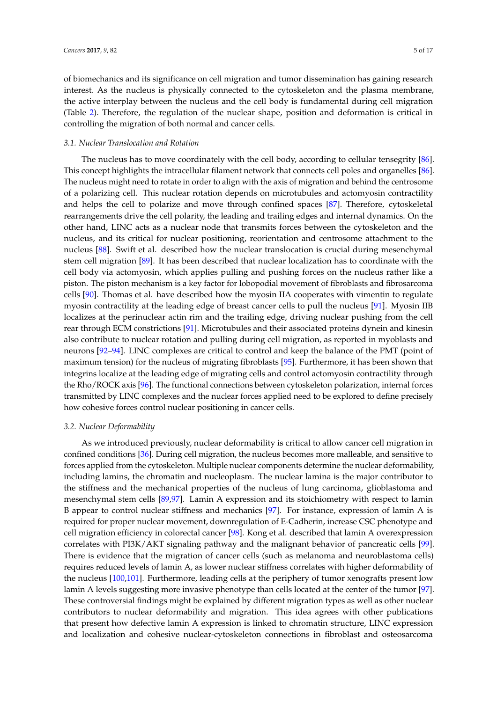of biomechanics and its significance on cell migration and tumor dissemination has gaining research interest. As the nucleus is physically connected to the cytoskeleton and the plasma membrane, the active interplay between the nucleus and the cell body is fundamental during cell migration (Table [2\)](#page-8-0). Therefore, the regulation of the nuclear shape, position and deformation is critical in controlling the migration of both normal and cancer cells.

#### *3.1. Nuclear Translocation and Rotation*

The nucleus has to move coordinately with the cell body, according to cellular tensegrity [\[86\]](#page-13-8). This concept highlights the intracellular filament network that connects cell poles and organelles [\[86\]](#page-13-8). The nucleus might need to rotate in order to align with the axis of migration and behind the centrosome of a polarizing cell. This nuclear rotation depends on microtubules and actomyosin contractility and helps the cell to polarize and move through confined spaces [\[87\]](#page-13-9). Therefore, cytoskeletal rearrangements drive the cell polarity, the leading and trailing edges and internal dynamics. On the other hand, LINC acts as a nuclear node that transmits forces between the cytoskeleton and the nucleus, and its critical for nuclear positioning, reorientation and centrosome attachment to the nucleus [\[88\]](#page-13-10). Swift et al. described how the nuclear translocation is crucial during mesenchymal stem cell migration [\[89\]](#page-13-11). It has been described that nuclear localization has to coordinate with the cell body via actomyosin, which applies pulling and pushing forces on the nucleus rather like a piston. The piston mechanism is a key factor for lobopodial movement of fibroblasts and fibrosarcoma cells [\[90\]](#page-13-12). Thomas et al. have described how the myosin IIA cooperates with vimentin to regulate myosin contractility at the leading edge of breast cancer cells to pull the nucleus [\[91\]](#page-13-13). Myosin IIB localizes at the perinuclear actin rim and the trailing edge, driving nuclear pushing from the cell rear through ECM constrictions [\[91\]](#page-13-13). Microtubules and their associated proteins dynein and kinesin also contribute to nuclear rotation and pulling during cell migration, as reported in myoblasts and neurons [\[92](#page-13-14)[–94\]](#page-13-15). LINC complexes are critical to control and keep the balance of the PMT (point of maximum tension) for the nucleus of migrating fibroblasts [\[95\]](#page-13-16). Furthermore, it has been shown that integrins localize at the leading edge of migrating cells and control actomyosin contractility through the Rho/ROCK axis [\[96\]](#page-13-17). The functional connections between cytoskeleton polarization, internal forces transmitted by LINC complexes and the nuclear forces applied need to be explored to define precisely how cohesive forces control nuclear positioning in cancer cells.

#### *3.2. Nuclear Deformability*

As we introduced previously, nuclear deformability is critical to allow cancer cell migration in confined conditions [\[36\]](#page-10-18). During cell migration, the nucleus becomes more malleable, and sensitive to forces applied from the cytoskeleton. Multiple nuclear components determine the nuclear deformability, including lamins, the chromatin and nucleoplasm. The nuclear lamina is the major contributor to the stiffness and the mechanical properties of the nucleus of lung carcinoma, glioblastoma and mesenchymal stem cells [\[89](#page-13-11)[,97\]](#page-13-18). Lamin A expression and its stoichiometry with respect to lamin B appear to control nuclear stiffness and mechanics [\[97\]](#page-13-18). For instance, expression of lamin A is required for proper nuclear movement, downregulation of E-Cadherin, increase CSC phenotype and cell migration efficiency in colorectal cancer [\[98\]](#page-13-19). Kong et al. described that lamin A overexpression correlates with PI3K/AKT signaling pathway and the malignant behavior of pancreatic cells [\[99\]](#page-14-0). There is evidence that the migration of cancer cells (such as melanoma and neuroblastoma cells) requires reduced levels of lamin A, as lower nuclear stiffness correlates with higher deformability of the nucleus [\[100](#page-14-1)[,101\]](#page-14-2). Furthermore, leading cells at the periphery of tumor xenografts present low lamin A levels suggesting more invasive phenotype than cells located at the center of the tumor [\[97\]](#page-13-18). These controversial findings might be explained by different migration types as well as other nuclear contributors to nuclear deformability and migration. This idea agrees with other publications that present how defective lamin A expression is linked to chromatin structure, LINC expression and localization and cohesive nuclear-cytoskeleton connections in fibroblast and osteosarcoma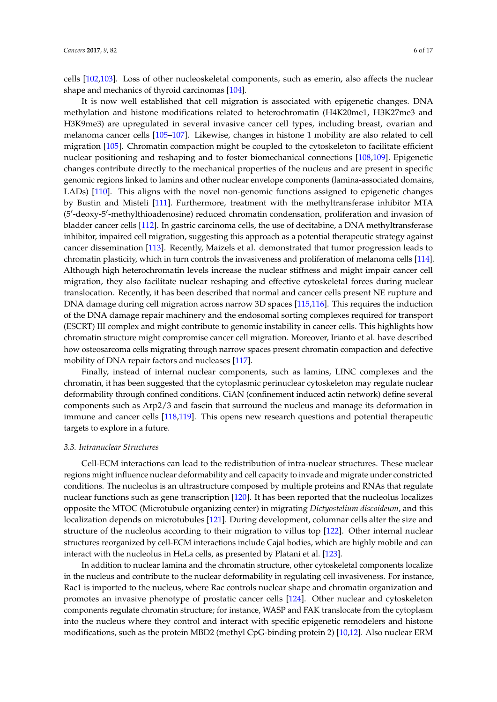cells [\[102](#page-14-3)[,103\]](#page-14-4). Loss of other nucleoskeletal components, such as emerin, also affects the nuclear shape and mechanics of thyroid carcinomas [\[104\]](#page-14-5).

It is now well established that cell migration is associated with epigenetic changes. DNA methylation and histone modifications related to heterochromatin (H4K20me1, H3K27me3 and H3K9me3) are upregulated in several invasive cancer cell types, including breast, ovarian and melanoma cancer cells [\[105](#page-14-6)[–107\]](#page-14-7). Likewise, changes in histone 1 mobility are also related to cell migration [\[105\]](#page-14-6). Chromatin compaction might be coupled to the cytoskeleton to facilitate efficient nuclear positioning and reshaping and to foster biomechanical connections [\[108](#page-14-8)[,109\]](#page-14-9). Epigenetic changes contribute directly to the mechanical properties of the nucleus and are present in specific genomic regions linked to lamins and other nuclear envelope components (lamina-associated domains, LADs) [\[110\]](#page-14-10). This aligns with the novel non-genomic functions assigned to epigenetic changes by Bustin and Misteli [\[111\]](#page-14-11). Furthermore, treatment with the methyltransferase inhibitor MTA (5'-deoxy-5'-methylthioadenosine) reduced chromatin condensation, proliferation and invasion of bladder cancer cells [\[112\]](#page-14-12). In gastric carcinoma cells, the use of decitabine, a DNA methyltransferase inhibitor, impaired cell migration, suggesting this approach as a potential therapeutic strategy against cancer dissemination [\[113\]](#page-14-13). Recently, Maizels et al. demonstrated that tumor progression leads to chromatin plasticity, which in turn controls the invasiveness and proliferation of melanoma cells [\[114\]](#page-14-14). Although high heterochromatin levels increase the nuclear stiffness and might impair cancer cell migration, they also facilitate nuclear reshaping and effective cytoskeletal forces during nuclear translocation. Recently, it has been described that normal and cancer cells present NE rupture and DNA damage during cell migration across narrow 3D spaces [\[115,](#page-14-15)[116\]](#page-14-16). This requires the induction of the DNA damage repair machinery and the endosomal sorting complexes required for transport (ESCRT) III complex and might contribute to genomic instability in cancer cells. This highlights how chromatin structure might compromise cancer cell migration. Moreover, Irianto et al. have described how osteosarcoma cells migrating through narrow spaces present chromatin compaction and defective mobility of DNA repair factors and nucleases [\[117\]](#page-14-17).

Finally, instead of internal nuclear components, such as lamins, LINC complexes and the chromatin, it has been suggested that the cytoplasmic perinuclear cytoskeleton may regulate nuclear deformability through confined conditions. CiAN (confinement induced actin network) define several components such as Arp2/3 and fascin that surround the nucleus and manage its deformation in immune and cancer cells [\[118](#page-14-18)[,119\]](#page-15-0). This opens new research questions and potential therapeutic targets to explore in a future.

# *3.3. Intranuclear Structures*

Cell-ECM interactions can lead to the redistribution of intra-nuclear structures. These nuclear regions might influence nuclear deformability and cell capacity to invade and migrate under constricted conditions. The nucleolus is an ultrastructure composed by multiple proteins and RNAs that regulate nuclear functions such as gene transcription [\[120\]](#page-15-1). It has been reported that the nucleolus localizes opposite the MTOC (Microtubule organizing center) in migrating *Dictyostelium discoideum*, and this localization depends on microtubules [\[121\]](#page-15-2). During development, columnar cells alter the size and structure of the nucleolus according to their migration to villus top [\[122\]](#page-15-3). Other internal nuclear structures reorganized by cell-ECM interactions include Cajal bodies, which are highly mobile and can interact with the nucleolus in HeLa cells, as presented by Platani et al. [\[123\]](#page-15-4).

In addition to nuclear lamina and the chromatin structure, other cytoskeletal components localize in the nucleus and contribute to the nuclear deformability in regulating cell invasiveness. For instance, Rac1 is imported to the nucleus, where Rac controls nuclear shape and chromatin organization and promotes an invasive phenotype of prostatic cancer cells [\[124\]](#page-15-5). Other nuclear and cytoskeleton components regulate chromatin structure; for instance, WASP and FAK translocate from the cytoplasm into the nucleus where they control and interact with specific epigenetic remodelers and histone modifications, such as the protein MBD2 (methyl CpG-binding protein 2) [\[10](#page-9-8)[,12\]](#page-9-13). Also nuclear ERM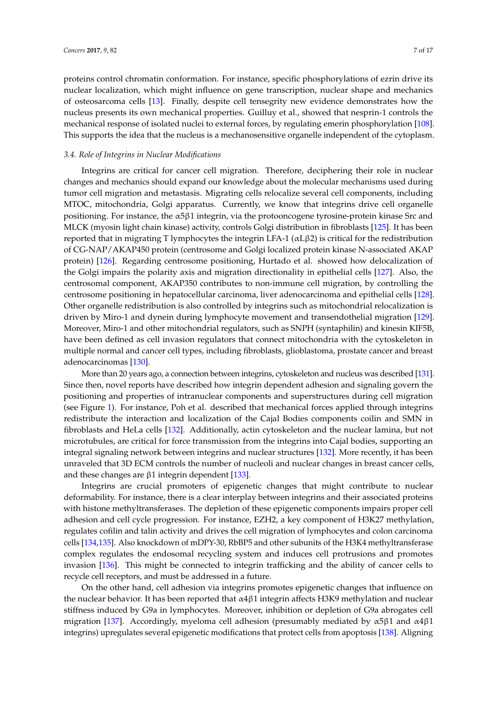proteins control chromatin conformation. For instance, specific phosphorylations of ezrin drive its nuclear localization, which might influence on gene transcription, nuclear shape and mechanics of osteosarcoma cells [\[13\]](#page-9-14). Finally, despite cell tensegrity new evidence demonstrates how the nucleus presents its own mechanical properties. Guilluy et al., showed that nesprin-1 controls the mechanical response of isolated nuclei to external forces, by regulating emerin phosphorylation [\[108\]](#page-14-8). This supports the idea that the nucleus is a mechanosensitive organelle independent of the cytoplasm.

# *3.4. Role of Integrins in Nuclear Modifications*

Integrins are critical for cancer cell migration. Therefore, deciphering their role in nuclear changes and mechanics should expand our knowledge about the molecular mechanisms used during tumor cell migration and metastasis. Migrating cells relocalize several cell components, including MTOC, mitochondria, Golgi apparatus. Currently, we know that integrins drive cell organelle positioning. For instance, the  $\alpha$ 5β1 integrin, via the protooncogene tyrosine-protein kinase Src and MLCK (myosin light chain kinase) activity, controls Golgi distribution in fibroblasts [\[125\]](#page-15-6). It has been reported that in migrating T lymphocytes the integrin LFA-1 (αLβ2) is critical for the redistribution of CG-NAP/AKAP450 protein (centrosome and Golgi localized protein kinase N-associated AKAP protein) [\[126\]](#page-15-7). Regarding centrosome positioning, Hurtado et al. showed how delocalization of the Golgi impairs the polarity axis and migration directionality in epithelial cells [\[127\]](#page-15-8). Also, the centrosomal component, AKAP350 contributes to non-immune cell migration, by controlling the centrosome positioning in hepatocellular carcinoma, liver adenocarcinoma and epithelial cells [\[128\]](#page-15-9). Other organelle redistribution is also controlled by integrins such as mitochondrial relocalization is driven by Miro-1 and dynein during lymphocyte movement and transendothelial migration [\[129\]](#page-15-10). Moreover, Miro-1 and other mitochondrial regulators, such as SNPH (syntaphilin) and kinesin KIF5B, have been defined as cell invasion regulators that connect mitochondria with the cytoskeleton in multiple normal and cancer cell types, including fibroblasts, glioblastoma, prostate cancer and breast adenocarcinomas [\[130\]](#page-15-11).

More than 20 years ago, a connection between integrins, cytoskeleton and nucleus was described [\[131\]](#page-15-12). Since then, novel reports have described how integrin dependent adhesion and signaling govern the positioning and properties of intranuclear components and superstructures during cell migration (see Figure [1\)](#page-7-0). For instance, Poh et al. described that mechanical forces applied through integrins redistribute the interaction and localization of the Cajal Bodies components coilin and SMN in fibroblasts and HeLa cells [\[132\]](#page-15-13). Additionally, actin cytoskeleton and the nuclear lamina, but not microtubules, are critical for force transmission from the integrins into Cajal bodies, supporting an integral signaling network between integrins and nuclear structures [\[132\]](#page-15-13). More recently, it has been unraveled that 3D ECM controls the number of nucleoli and nuclear changes in breast cancer cells, and these changes are  $β1$  integrin dependent  $[133]$ .

Integrins are crucial promoters of epigenetic changes that might contribute to nuclear deformability. For instance, there is a clear interplay between integrins and their associated proteins with histone methyltransferases. The depletion of these epigenetic components impairs proper cell adhesion and cell cycle progression. For instance, EZH2, a key component of H3K27 methylation, regulates cofilin and talin activity and drives the cell migration of lymphocytes and colon carcinoma cells [\[134,](#page-15-15)[135\]](#page-15-16). Also knockdown of mDPY-30, RbBP5 and other subunits of the H3K4 methyltransferase complex regulates the endosomal recycling system and induces cell protrusions and promotes invasion [\[136\]](#page-15-17). This might be connected to integrin trafficking and the ability of cancer cells to recycle cell receptors, and must be addressed in a future.

On the other hand, cell adhesion via integrins promotes epigenetic changes that influence on the nuclear behavior. It has been reported that  $\alpha$ 4 $\beta$ 1 integrin affects H3K9 methylation and nuclear stiffness induced by G9a in lymphocytes. Moreover, inhibition or depletion of G9a abrogates cell migration [\[137\]](#page-15-18). Accordingly, myeloma cell adhesion (presumably mediated by  $\alpha$ 5 $\beta$ 1 and  $\alpha$ 4 $\beta$ 1 integrins) upregulates several epigenetic modifications that protect cells from apoptosis [\[138\]](#page-16-0). Aligning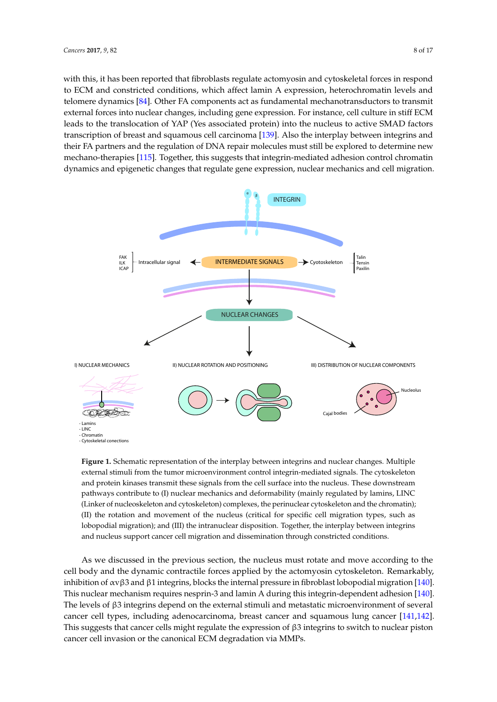with this, it has been reported that fibroblasts regulate actomyosin and cytoskeletal forces in respond to ECM and constricted conditions, which affect lamin A expression, heterochromatin levels and telomere dynamics [\[84\]](#page-13-20). Other FA components act as fundamental mechanotransductors to transmit external forces into nuclear changes, including gene expression. For instance, cell culture in stiff ECM leads to the translocation of YAP (Yes associated protein) into the nucleus to active SMAD factors transcription of breast and squamous cell carcinoma [\[139\]](#page-16-1). Also the interplay between integrins and their FA partners and the regulation of DNA repair molecules must still be explored to determine new mechano-therapies [\[115\]](#page-14-15). Together, this suggests that integrin-mediated adhesion control chromatin dynamics and epigenetic changes that regulate gene expression, nuclear mechanics and cell migration.

<span id="page-7-0"></span>

**Figure 1.** Schematic representation of the interplay between integrins and nuclear changes. Multiple external stimuli from the tumor microenvironment control integrin-mediated signals. The cytoskeleton and protein kinases transmit these signals from the cell surface into the nucleus. These downstream pathways contribute to (I) nuclear mechanics and deformability (mainly regulated by lamins, LINC (Linker of nucleoskeleton and cytoskeleton) complexes, the perinuclear cytoskeleton and the chromatin); (II) the rotation and movement of the nucleus (critical for specific cell migration types, such as lobopodial migration); and (III) the intranuclear disposition. Together, the interplay between integrins and nucleus support cancer cell migration and dissemination through constricted conditions.

As we discussed in the previous section, the nucleus must rotate and move according to the cell body and the dynamic contractile forces applied by the actomyosin cytoskeleton. Remarkably, inhibition of αvβ3 and β1 integrins, blocks the internal pressure in fibroblast lobopodial migration [\[140\]](#page-16-2). This nuclear mechanism requires nesprin-3 and lamin A during this integrin-dependent adhesion [\[140\]](#page-16-2). The levels of β3 integrins depend on the external stimuli and metastatic microenvironment of several cancer cell types, including adenocarcinoma, breast cancer and squamous lung cancer [\[141,](#page-16-3)[142\]](#page-16-4). This suggests that cancer cells might regulate the expression of β3 integrins to switch to nuclear piston cancer cell invasion or the canonical ECM degradation via MMPs.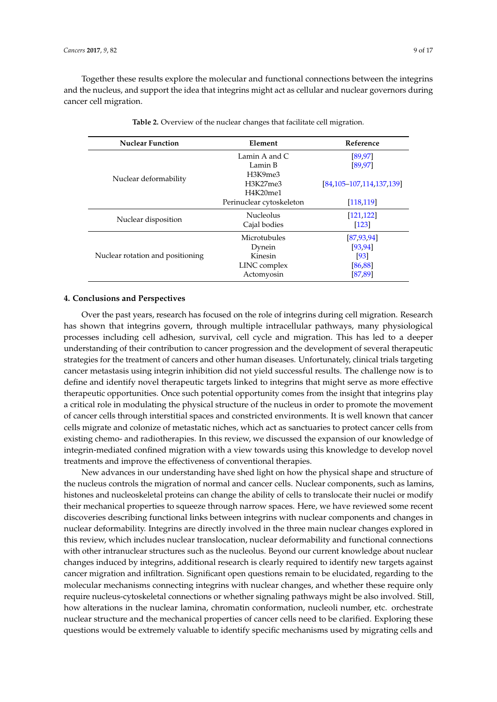Together these results explore the molecular and functional connections between the integrins and the nucleus, and support the idea that integrins might act as cellular and nuclear governors during cancer cell migration.

<span id="page-8-0"></span>

| <b>Nuclear Function</b>          | Element                  | Reference                |  |
|----------------------------------|--------------------------|--------------------------|--|
|                                  | Lamin A and C            | [89, 97]                 |  |
|                                  | Lamin B                  | [89, 97]                 |  |
|                                  | H3K9me3                  |                          |  |
| Nuclear deformability            | H3K27me3                 | [84,105-107,114,137,139] |  |
|                                  | H4K20me1                 |                          |  |
|                                  | Perinuclear cytoskeleton | [118, 119]               |  |
|                                  | <b>Nucleolus</b>         | [121, 122]               |  |
| Nuclear disposition              | Cajal bodies             | [123]                    |  |
|                                  | Microtubules             | [87, 93, 94]             |  |
|                                  | Dynein                   | [93, 94]                 |  |
| Nuclear rotation and positioning | Kinesin                  | [93]                     |  |
|                                  | LINC complex             | [86, 88]                 |  |
|                                  | Actomyosin               | [87, 89]                 |  |

**Table 2.** Overview of the nuclear changes that facilitate cell migration.

# **4. Conclusions and Perspectives**

Over the past years, research has focused on the role of integrins during cell migration. Research has shown that integrins govern, through multiple intracellular pathways, many physiological processes including cell adhesion, survival, cell cycle and migration. This has led to a deeper understanding of their contribution to cancer progression and the development of several therapeutic strategies for the treatment of cancers and other human diseases. Unfortunately, clinical trials targeting cancer metastasis using integrin inhibition did not yield successful results. The challenge now is to define and identify novel therapeutic targets linked to integrins that might serve as more effective therapeutic opportunities. Once such potential opportunity comes from the insight that integrins play a critical role in modulating the physical structure of the nucleus in order to promote the movement of cancer cells through interstitial spaces and constricted environments. It is well known that cancer cells migrate and colonize of metastatic niches, which act as sanctuaries to protect cancer cells from existing chemo- and radiotherapies. In this review, we discussed the expansion of our knowledge of integrin-mediated confined migration with a view towards using this knowledge to develop novel treatments and improve the effectiveness of conventional therapies.

New advances in our understanding have shed light on how the physical shape and structure of the nucleus controls the migration of normal and cancer cells. Nuclear components, such as lamins, histones and nucleoskeletal proteins can change the ability of cells to translocate their nuclei or modify their mechanical properties to squeeze through narrow spaces. Here, we have reviewed some recent discoveries describing functional links between integrins with nuclear components and changes in nuclear deformability. Integrins are directly involved in the three main nuclear changes explored in this review, which includes nuclear translocation, nuclear deformability and functional connections with other intranuclear structures such as the nucleolus. Beyond our current knowledge about nuclear changes induced by integrins, additional research is clearly required to identify new targets against cancer migration and infiltration. Significant open questions remain to be elucidated, regarding to the molecular mechanisms connecting integrins with nuclear changes, and whether these require only require nucleus-cytoskeletal connections or whether signaling pathways might be also involved. Still, how alterations in the nuclear lamina, chromatin conformation, nucleoli number, etc. orchestrate nuclear structure and the mechanical properties of cancer cells need to be clarified. Exploring these questions would be extremely valuable to identify specific mechanisms used by migrating cells and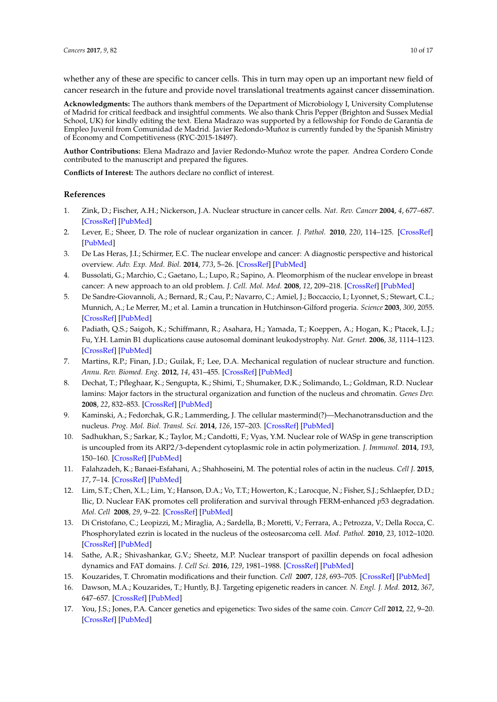whether any of these are specific to cancer cells. This in turn may open up an important new field of cancer research in the future and provide novel translational treatments against cancer dissemination.

**Acknowledgments:** The authors thank members of the Department of Microbiology I, University Complutense of Madrid for critical feedback and insightful comments. We also thank Chris Pepper (Brighton and Sussex Medial School, UK) for kindly editing the text. Elena Madrazo was supported by a fellowship for Fondo de Garantía de Empleo Juvenil from Comunidad de Madrid. Javier Redondo-Muñoz is currently funded by the Spanish Ministry of Economy and Competitiveness (RYC-2015-18497).

**Author Contributions:** Elena Madrazo and Javier Redondo-Muñoz wrote the paper. Andrea Cordero Conde contributed to the manuscript and prepared the figures.

**Conflicts of Interest:** The authors declare no conflict of interest.

# **References**

- <span id="page-9-0"></span>1. Zink, D.; Fischer, A.H.; Nickerson, J.A. Nuclear structure in cancer cells. *Nat. Rev. Cancer* **2004**, *4*, 677–687. [\[CrossRef\]](http://dx.doi.org/10.1038/nrc1430) [\[PubMed\]](http://www.ncbi.nlm.nih.gov/pubmed/15343274)
- 2. Lever, E.; Sheer, D. The role of nuclear organization in cancer. *J. Pathol.* **2010**, *220*, 114–125. [\[CrossRef\]](http://dx.doi.org/10.1002/path.2651) [\[PubMed\]](http://www.ncbi.nlm.nih.gov/pubmed/19927301)
- <span id="page-9-1"></span>3. De Las Heras, J.I.; Schirmer, E.C. The nuclear envelope and cancer: A diagnostic perspective and historical overview. *Adv. Exp. Med. Biol.* **2014**, *773*, 5–26. [\[CrossRef\]](http://dx.doi.org/10.1007/978-1-4899-8032-8_1) [\[PubMed\]](http://www.ncbi.nlm.nih.gov/pubmed/24563341)
- <span id="page-9-2"></span>4. Bussolati, G.; Marchio, C.; Gaetano, L.; Lupo, R.; Sapino, A. Pleomorphism of the nuclear envelope in breast cancer: A new approach to an old problem. *J. Cell. Mol. Med.* **2008**, *12*, 209–218. [\[CrossRef\]](http://dx.doi.org/10.1111/j.1582-4934.2007.00176.x) [\[PubMed\]](http://www.ncbi.nlm.nih.gov/pubmed/18053086)
- <span id="page-9-3"></span>5. De Sandre-Giovannoli, A.; Bernard, R.; Cau, P.; Navarro, C.; Amiel, J.; Boccaccio, I.; Lyonnet, S.; Stewart, C.L.; Munnich, A.; Le Merrer, M.; et al. Lamin a truncation in Hutchinson-Gilford progeria. *Science* **2003**, *300*, 2055. [\[CrossRef\]](http://dx.doi.org/10.1126/science.1084125) [\[PubMed\]](http://www.ncbi.nlm.nih.gov/pubmed/12702809)
- <span id="page-9-4"></span>6. Padiath, Q.S.; Saigoh, K.; Schiffmann, R.; Asahara, H.; Yamada, T.; Koeppen, A.; Hogan, K.; Ptacek, L.J.; Fu, Y.H. Lamin B1 duplications cause autosomal dominant leukodystrophy. *Nat. Genet.* **2006**, *38*, 1114–1123. [\[CrossRef\]](http://dx.doi.org/10.1038/ng1872) [\[PubMed\]](http://www.ncbi.nlm.nih.gov/pubmed/16951681)
- <span id="page-9-5"></span>7. Martins, R.P.; Finan, J.D.; Guilak, F.; Lee, D.A. Mechanical regulation of nuclear structure and function. *Annu. Rev. Biomed. Eng.* **2012**, *14*, 431–455. [\[CrossRef\]](http://dx.doi.org/10.1146/annurev-bioeng-071910-124638) [\[PubMed\]](http://www.ncbi.nlm.nih.gov/pubmed/22655599)
- <span id="page-9-6"></span>8. Dechat, T.; Pfleghaar, K.; Sengupta, K.; Shimi, T.; Shumaker, D.K.; Solimando, L.; Goldman, R.D. Nuclear lamins: Major factors in the structural organization and function of the nucleus and chromatin. *Genes Dev.* **2008**, *22*, 832–853. [\[CrossRef\]](http://dx.doi.org/10.1101/gad.1652708) [\[PubMed\]](http://www.ncbi.nlm.nih.gov/pubmed/18381888)
- <span id="page-9-7"></span>9. Kaminski, A.; Fedorchak, G.R.; Lammerding, J. The cellular mastermind(?)—Mechanotransduction and the nucleus. *Prog. Mol. Biol. Transl. Sci.* **2014**, *126*, 157–203. [\[CrossRef\]](http://dx.doi.org/10.1016/B978-0-12-394624-9.00007-5) [\[PubMed\]](http://www.ncbi.nlm.nih.gov/pubmed/25081618)
- <span id="page-9-8"></span>10. Sadhukhan, S.; Sarkar, K.; Taylor, M.; Candotti, F.; Vyas, Y.M. Nuclear role of WASp in gene transcription is uncoupled from its ARP2/3-dependent cytoplasmic role in actin polymerization. *J. Immunol.* **2014**, *193*, 150–160. [\[CrossRef\]](http://dx.doi.org/10.4049/jimmunol.1302923) [\[PubMed\]](http://www.ncbi.nlm.nih.gov/pubmed/24872192)
- 11. Falahzadeh, K.; Banaei-Esfahani, A.; Shahhoseini, M. The potential roles of actin in the nucleus. *Cell J.* **2015**, *17*, 7–14. [\[CrossRef\]](http://dx.doi.org/10.22074/cellj.2015.507) [\[PubMed\]](http://www.ncbi.nlm.nih.gov/pubmed/25870830)
- <span id="page-9-13"></span>12. Lim, S.T.; Chen, X.L.; Lim, Y.; Hanson, D.A.; Vo, T.T.; Howerton, K.; Larocque, N.; Fisher, S.J.; Schlaepfer, D.D.; Ilic, D. Nuclear FAK promotes cell proliferation and survival through FERM-enhanced *p*53 degradation. *Mol. Cell* **2008**, *29*, 9–22. [\[CrossRef\]](http://dx.doi.org/10.1016/j.molcel.2007.11.031) [\[PubMed\]](http://www.ncbi.nlm.nih.gov/pubmed/18206965)
- <span id="page-9-14"></span>13. Di Cristofano, C.; Leopizzi, M.; Miraglia, A.; Sardella, B.; Moretti, V.; Ferrara, A.; Petrozza, V.; Della Rocca, C. Phosphorylated ezrin is located in the nucleus of the osteosarcoma cell. *Mod. Pathol.* **2010**, *23*, 1012–1020. [\[CrossRef\]](http://dx.doi.org/10.1038/modpathol.2010.77) [\[PubMed\]](http://www.ncbi.nlm.nih.gov/pubmed/20348881)
- <span id="page-9-9"></span>14. Sathe, A.R.; Shivashankar, G.V.; Sheetz, M.P. Nuclear transport of paxillin depends on focal adhesion dynamics and FAT domains. *J. Cell Sci.* **2016**, *129*, 1981–1988. [\[CrossRef\]](http://dx.doi.org/10.1242/jcs.172643) [\[PubMed\]](http://www.ncbi.nlm.nih.gov/pubmed/27068537)
- <span id="page-9-10"></span>15. Kouzarides, T. Chromatin modifications and their function. *Cell* **2007**, *128*, 693–705. [\[CrossRef\]](http://dx.doi.org/10.1016/j.cell.2007.02.005) [\[PubMed\]](http://www.ncbi.nlm.nih.gov/pubmed/17320507)
- <span id="page-9-11"></span>16. Dawson, M.A.; Kouzarides, T.; Huntly, B.J. Targeting epigenetic readers in cancer. *N. Engl. J. Med.* **2012**, *367*, 647–657. [\[CrossRef\]](http://dx.doi.org/10.1056/NEJMra1112635) [\[PubMed\]](http://www.ncbi.nlm.nih.gov/pubmed/22894577)
- <span id="page-9-12"></span>17. You, J.S.; Jones, P.A. Cancer genetics and epigenetics: Two sides of the same coin. *Cancer Cell* **2012**, *22*, 9–20. [\[CrossRef\]](http://dx.doi.org/10.1016/j.ccr.2012.06.008) [\[PubMed\]](http://www.ncbi.nlm.nih.gov/pubmed/22789535)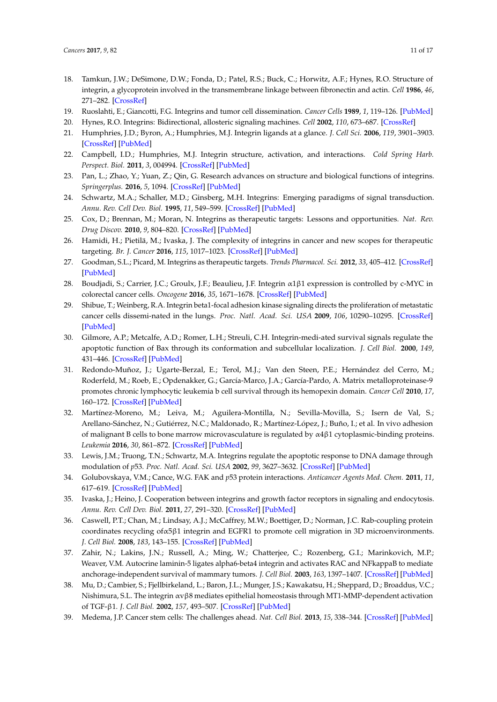- <span id="page-10-0"></span>18. Tamkun, J.W.; DeSimone, D.W.; Fonda, D.; Patel, R.S.; Buck, C.; Horwitz, A.F.; Hynes, R.O. Structure of integrin, a glycoprotein involved in the transmembrane linkage between fibronectin and actin. *Cell* **1986**, *46*, 271–282. [\[CrossRef\]](http://dx.doi.org/10.1016/0092-8674(86)90744-0)
- <span id="page-10-1"></span>19. Ruoslahti, E.; Giancotti, F.G. Integrins and tumor cell dissemination. *Cancer Cells* **1989**, *1*, 119–126. [\[PubMed\]](http://www.ncbi.nlm.nih.gov/pubmed/2701367)
- <span id="page-10-2"></span>20. Hynes, R.O. Integrins: Bidirectional, allosteric signaling machines. *Cell* **2002**, *110*, 673–687. [\[CrossRef\]](http://dx.doi.org/10.1016/S0092-8674(02)00971-6)
- <span id="page-10-3"></span>21. Humphries, J.D.; Byron, A.; Humphries, M.J. Integrin ligands at a glance. *J. Cell Sci.* **2006**, *119*, 3901–3903. [\[CrossRef\]](http://dx.doi.org/10.1242/jcs.03098) [\[PubMed\]](http://www.ncbi.nlm.nih.gov/pubmed/16988024)
- <span id="page-10-4"></span>22. Campbell, I.D.; Humphries, M.J. Integrin structure, activation, and interactions. *Cold Spring Harb. Perspect. Biol.* **2011**, *3*, 004994. [\[CrossRef\]](http://dx.doi.org/10.1101/cshperspect.a004994) [\[PubMed\]](http://www.ncbi.nlm.nih.gov/pubmed/21421922)
- <span id="page-10-5"></span>23. Pan, L.; Zhao, Y.; Yuan, Z.; Qin, G. Research advances on structure and biological functions of integrins. *Springerplus.* **2016**, *5*, 1094. [\[CrossRef\]](http://dx.doi.org/10.1186/s40064-016-2502-0) [\[PubMed\]](http://www.ncbi.nlm.nih.gov/pubmed/27468395)
- <span id="page-10-6"></span>24. Schwartz, M.A.; Schaller, M.D.; Ginsberg, M.H. Integrins: Emerging paradigms of signal transduction. *Annu. Rev. Cell Dev. Biol.* **1995**, *11*, 549–599. [\[CrossRef\]](http://dx.doi.org/10.1146/annurev.cb.11.110195.003001) [\[PubMed\]](http://www.ncbi.nlm.nih.gov/pubmed/8689569)
- <span id="page-10-7"></span>25. Cox, D.; Brennan, M.; Moran, N. Integrins as therapeutic targets: Lessons and opportunities. *Nat. Rev. Drug Discov.* **2010**, *9*, 804–820. [\[CrossRef\]](http://dx.doi.org/10.1038/nrd3266) [\[PubMed\]](http://www.ncbi.nlm.nih.gov/pubmed/20885411)
- <span id="page-10-8"></span>26. Hamidi, H.; Pietilä, M.; Ivaska, J. The complexity of integrins in cancer and new scopes for therapeutic targeting. *Br. J. Cancer* **2016**, *115*, 1017–1023. [\[CrossRef\]](http://dx.doi.org/10.1038/bjc.2016.312) [\[PubMed\]](http://www.ncbi.nlm.nih.gov/pubmed/27685444)
- <span id="page-10-9"></span>27. Goodman, S.L.; Picard, M. Integrins as therapeutic targets. *Trends Pharmacol. Sci.* **2012**, *33*, 405–412. [\[CrossRef\]](http://dx.doi.org/10.1016/j.tips.2012.04.002) [\[PubMed\]](http://www.ncbi.nlm.nih.gov/pubmed/22633092)
- <span id="page-10-10"></span>28. Boudjadi, S.; Carrier, J.C.; Groulx, J.F.; Beaulieu, J.F. Integrin α1β1 expression is controlled by c-MYC in colorectal cancer cells. *Oncogene* **2016**, *35*, 1671–1678. [\[CrossRef\]](http://dx.doi.org/10.1038/onc.2015.231) [\[PubMed\]](http://www.ncbi.nlm.nih.gov/pubmed/26096932)
- <span id="page-10-11"></span>29. Shibue, T.; Weinberg, R.A. Integrin beta1-focal adhesion kinase signaling directs the proliferation of metastatic cancer cells dissemi-nated in the lungs. *Proc. Natl. Acad. Sci. USA* **2009**, *106*, 10290–10295. [\[CrossRef\]](http://dx.doi.org/10.1073/pnas.0904227106) [\[PubMed\]](http://www.ncbi.nlm.nih.gov/pubmed/19502425)
- <span id="page-10-12"></span>30. Gilmore, A.P.; Metcalfe, A.D.; Romer, L.H.; Streuli, C.H. Integrin-medi-ated survival signals regulate the apoptotic function of Bax through its conformation and subcellular localization. *J. Cell Biol.* **2000**, *149*, 431–446. [\[CrossRef\]](http://dx.doi.org/10.1083/jcb.149.2.431) [\[PubMed\]](http://www.ncbi.nlm.nih.gov/pubmed/10769034)
- <span id="page-10-13"></span>31. Redondo-Muñoz, J.; Ugarte-Berzal, E.; Terol, M.J.; Van den Steen, P.E.; Hernández del Cerro, M.; Roderfeld, M.; Roeb, E.; Opdenakker, G.; García-Marco, J.A.; García-Pardo, A. Matrix metalloproteinase-9 promotes chronic lymphocytic leukemia b cell survival through its hemopexin domain. *Cancer Cell* **2010**, *17*, 160–172. [\[CrossRef\]](http://dx.doi.org/10.1016/j.ccr.2009.12.044) [\[PubMed\]](http://www.ncbi.nlm.nih.gov/pubmed/20159608)
- <span id="page-10-14"></span>32. Martínez-Moreno, M.; Leiva, M.; Aguilera-Montilla, N.; Sevilla-Movilla, S.; Isern de Val, S.; Arellano-Sánchez, N.; Gutiérrez, N.C.; Maldonado, R.; Martínez-López, J.; Buño, I.; et al. In vivo adhesion of malignant B cells to bone marrow microvasculature is regulated by α4β1 cytoplasmic-binding proteins. *Leukemia* **2016**, *30*, 861–872. [\[CrossRef\]](http://dx.doi.org/10.1038/leu.2015.332) [\[PubMed\]](http://www.ncbi.nlm.nih.gov/pubmed/26658839)
- <span id="page-10-15"></span>33. Lewis, J.M.; Truong, T.N.; Schwartz, M.A. Integrins regulate the apoptotic response to DNA damage through modulation of *p*53. *Proc. Natl. Acad. Sci. USA* **2002**, *99*, 3627–3632. [\[CrossRef\]](http://dx.doi.org/10.1073/pnas.062698499) [\[PubMed\]](http://www.ncbi.nlm.nih.gov/pubmed/11904424)
- <span id="page-10-16"></span>34. Golubovskaya, V.M.; Cance, W.G. FAK and *p*53 protein interactions. *Anticancer Agents Med. Chem.* **2011**, *11*, 617–619. [\[CrossRef\]](http://dx.doi.org/10.2174/187152011796817619) [\[PubMed\]](http://www.ncbi.nlm.nih.gov/pubmed/21355845)
- <span id="page-10-17"></span>35. Ivaska, J.; Heino, J. Cooperation between integrins and growth factor receptors in signaling and endocytosis. *Annu. Rev. Cell Dev. Biol.* **2011**, *27*, 291–320. [\[CrossRef\]](http://dx.doi.org/10.1146/annurev-cellbio-092910-154017) [\[PubMed\]](http://www.ncbi.nlm.nih.gov/pubmed/21663443)
- <span id="page-10-18"></span>36. Caswell, P.T.; Chan, M.; Lindsay, A.J.; McCaffrey, M.W.; Boettiger, D.; Norman, J.C. Rab-coupling protein coordinates recycling ofα5β1 integrin and EGFR1 to promote cell migration in 3D microenvironments. *J. Cell Biol.* **2008**, *183*, 143–155. [\[CrossRef\]](http://dx.doi.org/10.1083/jcb.200804140) [\[PubMed\]](http://www.ncbi.nlm.nih.gov/pubmed/18838556)
- <span id="page-10-19"></span>37. Zahir, N.; Lakins, J.N.; Russell, A.; Ming, W.; Chatterjee, C.; Rozenberg, G.I.; Marinkovich, M.P.; Weaver, V.M. Autocrine laminin-5 ligates alpha6-beta4 integrin and activates RAC and NFkappaB to mediate anchorage-independent survival of mammary tumors. *J. Cell Biol.* **2003**, *163*, 1397–1407. [\[CrossRef\]](http://dx.doi.org/10.1083/jcb.200302023) [\[PubMed\]](http://www.ncbi.nlm.nih.gov/pubmed/14691145)
- <span id="page-10-20"></span>38. Mu, D.; Cambier, S.; Fjellbirkeland, L.; Baron, J.L.; Munger, J.S.; Kawakatsu, H.; Sheppard, D.; Broaddus, V.C.; Nishimura, S.L. The integrin αvβ8 mediates epithelial homeostasis through MT1-MMP-dependent activation of TGF-β1. *J. Cell Biol.* **2002**, *157*, 493–507. [\[CrossRef\]](http://dx.doi.org/10.1083/jcb.200109100) [\[PubMed\]](http://www.ncbi.nlm.nih.gov/pubmed/11970960)
- 39. Medema, J.P. Cancer stem cells: The challenges ahead. *Nat. Cell Biol.* **2013**, *15*, 338–344. [\[CrossRef\]](http://dx.doi.org/10.1038/ncb2717) [\[PubMed\]](http://www.ncbi.nlm.nih.gov/pubmed/23548926)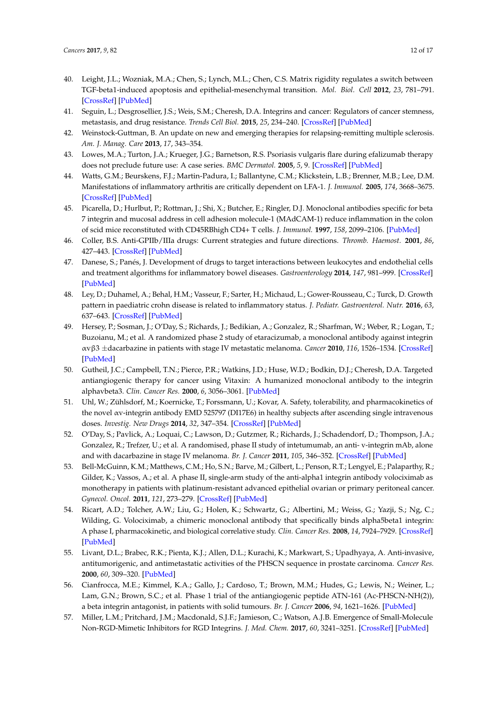- <span id="page-11-0"></span>40. Leight, J.L.; Wozniak, M.A.; Chen, S.; Lynch, M.L.; Chen, C.S. Matrix rigidity regulates a switch between TGF-beta1-induced apoptosis and epithelial-mesenchymal transition. *Mol. Biol. Cell* **2012**, *23*, 781–791. [\[CrossRef\]](http://dx.doi.org/10.1091/mbc.E11-06-0537) [\[PubMed\]](http://www.ncbi.nlm.nih.gov/pubmed/22238361)
- <span id="page-11-1"></span>41. Seguin, L.; Desgrosellier, J.S.; Weis, S.M.; Cheresh, D.A. Integrins and cancer: Regulators of cancer stemness, metastasis, and drug resistance. *Trends Cell Biol.* **2015**, *25*, 234–240. [\[CrossRef\]](http://dx.doi.org/10.1016/j.tcb.2014.12.006) [\[PubMed\]](http://www.ncbi.nlm.nih.gov/pubmed/25572304)
- <span id="page-11-2"></span>42. Weinstock-Guttman, B. An update on new and emerging therapies for relapsing-remitting multiple sclerosis. *Am. J. Manag. Care* **2013**, *17*, 343–354.
- <span id="page-11-5"></span>43. Lowes, M.A.; Turton, J.A.; Krueger, J.G.; Barnetson, R.S. Psoriasis vulgaris flare during efalizumab therapy does not preclude future use: A case series. *BMC Dermatol.* **2005**, *5*, 9. [\[CrossRef\]](http://dx.doi.org/10.1186/1471-5945-5-9) [\[PubMed\]](http://www.ncbi.nlm.nih.gov/pubmed/16109173)
- <span id="page-11-6"></span>44. Watts, G.M.; Beurskens, F.J.; Martin-Padura, I.; Ballantyne, C.M.; Klickstein, L.B.; Brenner, M.B.; Lee, D.M. Manifestations of inflammatory arthritis are critically dependent on LFA-1. *J. Immunol.* **2005**, *174*, 3668–3675. [\[CrossRef\]](http://dx.doi.org/10.4049/jimmunol.174.6.3668) [\[PubMed\]](http://www.ncbi.nlm.nih.gov/pubmed/15749905)
- <span id="page-11-7"></span>45. Picarella, D.; Hurlbut, P.; Rottman, J.; Shi, X.; Butcher, E.; Ringler, D.J. Monoclonal antibodies specific for beta 7 integrin and mucosal address in cell adhesion molecule-1 (MAdCAM-1) reduce inflammation in the colon of scid mice reconstituted with CD45RBhigh CD4+ T cells. *J. Immunol.* **1997**, *158*, 2099–2106. [\[PubMed\]](http://www.ncbi.nlm.nih.gov/pubmed/9036954)
- <span id="page-11-10"></span>46. Coller, B.S. Anti-GPIIb/IIIa drugs: Current strategies and future directions. *Thromb. Haemost.* **2001**, *86*, 427–443. [\[CrossRef\]](http://dx.doi.org/10.2174/0929867324666170414163937) [\[PubMed\]](http://www.ncbi.nlm.nih.gov/pubmed/11487034)
- <span id="page-11-8"></span>47. Danese, S.; Panés, J. Development of drugs to target interactions between leukocytes and endothelial cells and treatment algorithms for inflammatory bowel diseases. *Gastroenterology* **2014**, *147*, 981–999. [\[CrossRef\]](http://dx.doi.org/10.1053/j.gastro.2014.08.044) [\[PubMed\]](http://www.ncbi.nlm.nih.gov/pubmed/25220794)
- <span id="page-11-9"></span>48. Ley, D.; Duhamel, A.; Behal, H.M.; Vasseur, F.; Sarter, H.; Michaud, L.; Gower-Rousseau, C.; Turck, D. Growth pattern in paediatric crohn disease is related to inflammatory status. *J. Pediatr. Gastroenterol. Nutr.* **2016**, *63*, 637–643. [\[CrossRef\]](http://dx.doi.org/10.1097/MPG.0000000000001177) [\[PubMed\]](http://www.ncbi.nlm.nih.gov/pubmed/26925610)
- <span id="page-11-3"></span>49. Hersey, P.; Sosman, J.; O'Day, S.; Richards, J.; Bedikian, A.; Gonzalez, R.; Sharfman, W.; Weber, R.; Logan, T.; Buzoianu, M.; et al. A randomized phase 2 study of etaracizumab, a monoclonal antibody against integrin αvβ3 ±dacarbazine in patients with stage IV metastatic melanoma. *Cancer* **2010**, *116*, 1526–1534. [\[CrossRef\]](http://dx.doi.org/10.1002/cncr.24821) [\[PubMed\]](http://www.ncbi.nlm.nih.gov/pubmed/20108344)
- <span id="page-11-4"></span>50. Gutheil, J.C.; Campbell, T.N.; Pierce, P.R.; Watkins, J.D.; Huse, W.D.; Bodkin, D.J.; Cheresh, D.A. Targeted antiangiogenic therapy for cancer using Vitaxin: A humanized monoclonal antibody to the integrin alphavbeta3. *Clin. Cancer Res.* **2000**, *6*, 3056–3061. [\[PubMed\]](http://www.ncbi.nlm.nih.gov/pubmed/10955784)
- 51. Uhl, W.; Zühlsdorf, M.; Koernicke, T.; Forssmann, U.; Kovar, A. Safety, tolerability, and pharmacokinetics of the novel αv-integrin antibody EMD 525797 (DI17E6) in healthy subjects after ascending single intravenous doses. *Investig. New Drugs* **2014**, *32*, 347–354. [\[CrossRef\]](http://dx.doi.org/10.1007/s10637-013-0038-5) [\[PubMed\]](http://www.ncbi.nlm.nih.gov/pubmed/24242902)
- <span id="page-11-11"></span>52. O'Day, S.; Pavlick, A.; Loquai, C.; Lawson, D.; Gutzmer, R.; Richards, J.; Schadendorf, D.; Thompson, J.A.; Gonzalez, R.; Trefzer, U.; et al. A randomised, phase II study of intetumumab, an anti- v-integrin mAb, alone and with dacarbazine in stage IV melanoma. *Br. J. Cancer* **2011**, *105*, 346–352. [\[CrossRef\]](http://dx.doi.org/10.1038/bjc.2011.183) [\[PubMed\]](http://www.ncbi.nlm.nih.gov/pubmed/21750555)
- <span id="page-11-12"></span>53. Bell-McGuinn, K.M.; Matthews, C.M.; Ho, S.N.; Barve, M.; Gilbert, L.; Penson, R.T.; Lengyel, E.; Palaparthy, R.; Gilder, K.; Vassos, A.; et al. A phase II, single-arm study of the anti-alpha1 integrin antibody volociximab as monotherapy in patients with platinum-resistant advanced epithelial ovarian or primary peritoneal cancer. *Gynecol. Oncol.* **2011**, *121*, 273–279. [\[CrossRef\]](http://dx.doi.org/10.1016/j.ygyno.2010.12.362) [\[PubMed\]](http://www.ncbi.nlm.nih.gov/pubmed/21276608)
- <span id="page-11-13"></span>54. Ricart, A.D.; Tolcher, A.W.; Liu, G.; Holen, K.; Schwartz, G.; Albertini, M.; Weiss, G.; Yazji, S.; Ng, C.; Wilding, G. Volociximab, a chimeric monoclonal antibody that specifically binds alpha5beta1 integrin: A phase I, pharmacokinetic, and biological correlative study. *Clin. Cancer Res.* **2008**, *14*, 7924–7929. [\[CrossRef\]](http://dx.doi.org/10.1158/1078-0432.CCR-08-0378) [\[PubMed\]](http://www.ncbi.nlm.nih.gov/pubmed/19047123)
- 55. Livant, D.L.; Brabec, R.K.; Pienta, K.J.; Allen, D.L.; Kurachi, K.; Markwart, S.; Upadhyaya, A. Anti-invasive, antitumorigenic, and antimetastatic activities of the PHSCN sequence in prostate carcinoma. *Cancer Res.* **2000**, *60*, 309–320. [\[PubMed\]](http://www.ncbi.nlm.nih.gov/pubmed/10667582)
- 56. Cianfrocca, M.E.; Kimmel, K.A.; Gallo, J.; Cardoso, T.; Brown, M.M.; Hudes, G.; Lewis, N.; Weiner, L.; Lam, G.N.; Brown, S.C.; et al. Phase 1 trial of the antiangiogenic peptide ATN-161 (Ac-PHSCN-NH(2)), a beta integrin antagonist, in patients with solid tumours. *Br. J. Cancer* **2006**, *94*, 1621–1626. [\[PubMed\]](http://www.ncbi.nlm.nih.gov/pubmed/16705310)
- <span id="page-11-14"></span>57. Miller, L.M.; Pritchard, J.M.; Macdonald, S.J.F.; Jamieson, C.; Watson, A.J.B. Emergence of Small-Molecule Non-RGD-Mimetic Inhibitors for RGD Integrins. *J. Med. Chem.* **2017**, *60*, 3241–3251. [\[CrossRef\]](http://dx.doi.org/10.1021/acs.jmedchem.6b01711) [\[PubMed\]](http://www.ncbi.nlm.nih.gov/pubmed/28135089)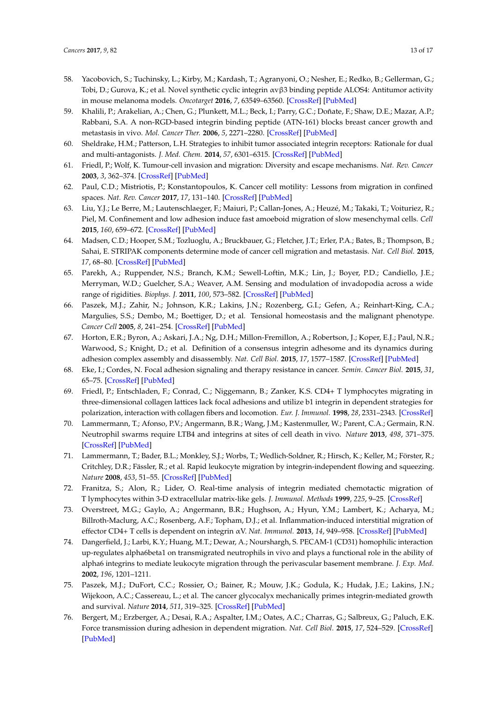- 58. Yacobovich, S.; Tuchinsky, L.; Kirby, M.; Kardash, T.; Agranyoni, O.; Nesher, E.; Redko, B.; Gellerman, G.; Tobi, D.; Gurova, K.; et al. Novel synthetic cyclic integrin αvβ3 binding peptide ALOS4: Antitumor activity in mouse melanoma models. *Oncotarget* **2016**, *7*, 63549–63560. [\[CrossRef\]](http://dx.doi.org/10.18632/oncotarget.11363) [\[PubMed\]](http://www.ncbi.nlm.nih.gov/pubmed/27556860)
- <span id="page-12-1"></span>59. Khalili, P.; Arakelian, A.; Chen, G.; Plunkett, M.L.; Beck, I.; Parry, G.C.; Doñate, F.; Shaw, D.E.; Mazar, A.P.; Rabbani, S.A. A non-RGD-based integrin binding peptide (ATN-161) blocks breast cancer growth and metastasis in vivo. *Mol. Cancer Ther.* **2006**, *5*, 2271–2280. [\[CrossRef\]](http://dx.doi.org/10.1158/1535-7163.MCT-06-0100) [\[PubMed\]](http://www.ncbi.nlm.nih.gov/pubmed/16985061)
- <span id="page-12-0"></span>60. Sheldrake, H.M.; Patterson, L.H. Strategies to inhibit tumor associated integrin receptors: Rationale for dual and multi-antagonists. *J. Med. Chem.* **2014**, *57*, 6301–6315. [\[CrossRef\]](http://dx.doi.org/10.1021/jm5000547) [\[PubMed\]](http://www.ncbi.nlm.nih.gov/pubmed/24568695)
- <span id="page-12-2"></span>61. Friedl, P.; Wolf, K. Tumour-cell invasion and migration: Diversity and escape mechanisms. *Nat. Rev. Cancer* **2003**, *3*, 362–374. [\[CrossRef\]](http://dx.doi.org/10.1038/nrc1075) [\[PubMed\]](http://www.ncbi.nlm.nih.gov/pubmed/12724734)
- <span id="page-12-3"></span>62. Paul, C.D.; Mistriotis, P.; Konstantopoulos, K. Cancer cell motility: Lessons from migration in confined spaces. *Nat. Rev. Cancer* **2017**, *17*, 131–140. [\[CrossRef\]](http://dx.doi.org/10.1038/nrc.2016.123) [\[PubMed\]](http://www.ncbi.nlm.nih.gov/pubmed/27909339)
- <span id="page-12-4"></span>63. Liu, Y.J.; Le Berre, M.; Lautenschlaeger, F.; Maiuri, P.; Callan-Jones, A.; Heuzé, M.; Takaki, T.; Voituriez, R.; Piel, M. Confinement and low adhesion induce fast amoeboid migration of slow mesenchymal cells. *Cell* **2015**, *160*, 659–672. [\[CrossRef\]](http://dx.doi.org/10.1016/j.cell.2015.01.007) [\[PubMed\]](http://www.ncbi.nlm.nih.gov/pubmed/25679760)
- <span id="page-12-5"></span>64. Madsen, C.D.; Hooper, S.M.; Tozluoglu, A.; Bruckbauer, G.; Fletcher, J.T.; Erler, P.A.; Bates, B.; Thompson, B.; Sahai, E. STRIPAK components determine mode of cancer cell migration and metastasis. *Nat. Cell Biol.* **2015**, *17*, 68–80. [\[CrossRef\]](http://dx.doi.org/10.1038/ncb3083) [\[PubMed\]](http://www.ncbi.nlm.nih.gov/pubmed/25531779)
- <span id="page-12-6"></span>65. Parekh, A.; Ruppender, N.S.; Branch, K.M.; Sewell-Loftin, M.K.; Lin, J.; Boyer, P.D.; Candiello, J.E.; Merryman, W.D.; Guelcher, S.A.; Weaver, A.M. Sensing and modulation of invadopodia across a wide range of rigidities. *Biophys. J.* **2011**, *100*, 573–582. [\[CrossRef\]](http://dx.doi.org/10.1016/j.bpj.2010.12.3733) [\[PubMed\]](http://www.ncbi.nlm.nih.gov/pubmed/21281571)
- <span id="page-12-7"></span>66. Paszek, M.J.; Zahir, N.; Johnson, K.R.; Lakins, J.N.; Rozenberg, G.I.; Gefen, A.; Reinhart-King, C.A.; Margulies, S.S.; Dembo, M.; Boettiger, D.; et al. Tensional homeostasis and the malignant phenotype. *Cancer Cell* **2005**, *8*, 241–254. [\[CrossRef\]](http://dx.doi.org/10.1016/j.ccr.2005.08.010) [\[PubMed\]](http://www.ncbi.nlm.nih.gov/pubmed/16169468)
- <span id="page-12-8"></span>67. Horton, E.R.; Byron, A.; Askari, J.A.; Ng, D.H.; Millon-Fremillon, A.; Robertson, J.; Koper, E.J.; Paul, N.R.; Warwood, S.; Knight, D.; et al. Definition of a consensus integrin adhesome and its dynamics during adhesion complex assembly and disassembly. *Nat. Cell Biol.* **2015**, *17*, 1577–1587. [\[CrossRef\]](http://dx.doi.org/10.1038/ncb3257) [\[PubMed\]](http://www.ncbi.nlm.nih.gov/pubmed/26479319)
- <span id="page-12-9"></span>68. Eke, I.; Cordes, N. Focal adhesion signaling and therapy resistance in cancer. *Semin. Cancer Biol.* **2015**, *31*, 65–75. [\[CrossRef\]](http://dx.doi.org/10.1016/j.semcancer.2014.07.009) [\[PubMed\]](http://www.ncbi.nlm.nih.gov/pubmed/25117005)
- <span id="page-12-10"></span>69. Friedl, P.; Entschladen, F.; Conrad, C.; Niggemann, B.; Zanker, K.S. CD4+ T lymphocytes migrating in three-dimensional collagen lattices lack focal adhesions and utilize b1 integrin in dependent strategies for polarization, interaction with collagen fibers and locomotion. *Eur. J. Immunol.* **1998**, *28*, 2331–2343. [\[CrossRef\]](http://dx.doi.org/10.1002/(SICI)1521-4141(199808)28:08<2331::AID-IMMU2331>3.0.CO;2-C)
- 70. Lammermann, T.; Afonso, P.V.; Angermann, B.R.; Wang, J.M.; Kastenmuller, W.; Parent, C.A.; Germain, R.N. Neutrophil swarms require LTB4 and integrins at sites of cell death in vivo. *Nature* **2013**, *498*, 371–375. [\[CrossRef\]](http://dx.doi.org/10.1038/nature12175) [\[PubMed\]](http://www.ncbi.nlm.nih.gov/pubmed/23708969)
- <span id="page-12-11"></span>71. Lammermann, T.; Bader, B.L.; Monkley, S.J.; Worbs, T.; Wedlich-Soldner, R.; Hirsch, K.; Keller, M.; Förster, R.; Critchley, D.R.; Fässler, R.; et al. Rapid leukocyte migration by integrin-independent flowing and squeezing. *Nature* **2008**, *453*, 51–55. [\[CrossRef\]](http://dx.doi.org/10.1038/nature06887) [\[PubMed\]](http://www.ncbi.nlm.nih.gov/pubmed/18451854)
- <span id="page-12-12"></span>72. Franitza, S.; Alon, R.; Lider, O. Real-time analysis of integrin mediated chemotactic migration of T lymphocytes within 3-D extracellular matrix-like gels. *J. Immunol. Methods* **1999**, *225*, 9–25. [\[CrossRef\]](http://dx.doi.org/10.1016/S0022-1759(99)00024-1)
- 73. Overstreet, M.G.; Gaylo, A.; Angermann, B.R.; Hughson, A.; Hyun, Y.M.; Lambert, K.; Acharya, M.; Billroth-Maclurg, A.C.; Rosenberg, A.F.; Topham, D.J.; et al. Inflammation-induced interstitial migration of effector CD4+ T cells is dependent on integrin αV. *Nat. Immunol.* **2013**, *14*, 949–958. [\[CrossRef\]](http://dx.doi.org/10.1038/ni.2682) [\[PubMed\]](http://www.ncbi.nlm.nih.gov/pubmed/23933892)
- <span id="page-12-13"></span>74. Dangerfield, J.; Larbi, K.Y.; Huang, M.T.; Dewar, A.; Nourshargh, S. PECAM-1 (CD31) homophilic interaction up-regulates alpha6beta1 on transmigrated neutrophils in vivo and plays a functional role in the ability of alpha6 integrins to mediate leukocyte migration through the perivascular basement membrane. *J. Exp. Med.* **2002**, *196*, 1201–1211.
- <span id="page-12-14"></span>75. Paszek, M.J.; DuFort, C.C.; Rossier, O.; Bainer, R.; Mouw, J.K.; Godula, K.; Hudak, J.E.; Lakins, J.N.; Wijekoon, A.C.; Cassereau, L.; et al. The cancer glycocalyx mechanically primes integrin-mediated growth and survival. *Nature* **2014**, *511*, 319–325. [\[CrossRef\]](http://dx.doi.org/10.1038/nature13535) [\[PubMed\]](http://www.ncbi.nlm.nih.gov/pubmed/25030168)
- <span id="page-12-15"></span>76. Bergert, M.; Erzberger, A.; Desai, R.A.; Aspalter, I.M.; Oates, A.C.; Charras, G.; Salbreux, G.; Paluch, E.K. Force transmission during adhesion in dependent migration. *Nat. Cell Biol.* **2015**, *17*, 524–529. [\[CrossRef\]](http://dx.doi.org/10.1038/ncb3134) [\[PubMed\]](http://www.ncbi.nlm.nih.gov/pubmed/25774834)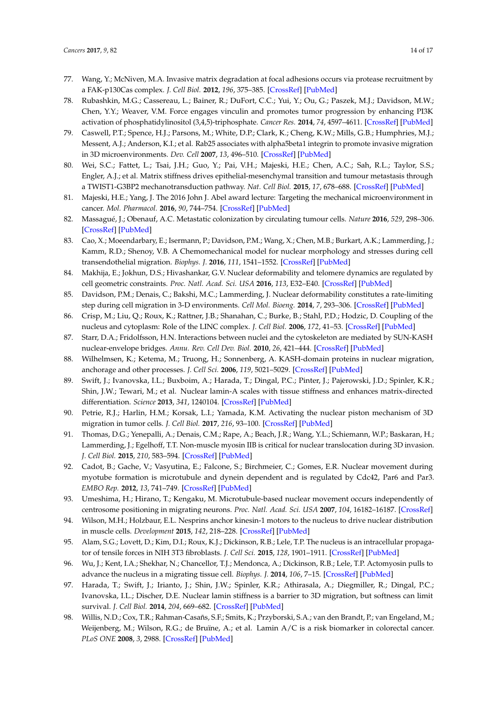- <span id="page-13-0"></span>77. Wang, Y.; McNiven, M.A. Invasive matrix degradation at focal adhesions occurs via protease recruitment by a FAK-p130Cas complex. *J. Cell Biol.* **2012**, *196*, 375–385. [\[CrossRef\]](http://dx.doi.org/10.1083/jcb.201105153) [\[PubMed\]](http://www.ncbi.nlm.nih.gov/pubmed/22291036)
- <span id="page-13-1"></span>78. Rubashkin, M.G.; Cassereau, L.; Bainer, R.; DuFort, C.C.; Yui, Y.; Ou, G.; Paszek, M.J.; Davidson, M.W.; Chen, Y.Y.; Weaver, V.M. Force engages vinculin and promotes tumor progression by enhancing PI3K activation of phosphatidylinositol (3,4,5)-triphosphate. *Cancer Res.* **2014**, *74*, 4597–4611. [\[CrossRef\]](http://dx.doi.org/10.1158/0008-5472.CAN-13-3698) [\[PubMed\]](http://www.ncbi.nlm.nih.gov/pubmed/25183785)
- <span id="page-13-2"></span>79. Caswell, P.T.; Spence, H.J.; Parsons, M.; White, D.P.; Clark, K.; Cheng, K.W.; Mills, G.B.; Humphries, M.J.; Messent, A.J.; Anderson, K.I.; et al. Rab25 associates with alpha5beta1 integrin to promote invasive migration in 3D microenvironments. *Dev. Cell* **2007**, *13*, 496–510. [\[CrossRef\]](http://dx.doi.org/10.1016/j.devcel.2007.08.012) [\[PubMed\]](http://www.ncbi.nlm.nih.gov/pubmed/17925226)
- <span id="page-13-3"></span>80. Wei, S.C.; Fattet, L.; Tsai, J.H.; Guo, Y.; Pai, V.H.; Majeski, H.E.; Chen, A.C.; Sah, R.L.; Taylor, S.S.; Engler, A.J.; et al. Matrix stiffness drives epithelial-mesenchymal transition and tumour metastasis through a TWIST1-G3BP2 mechanotransduction pathway. *Nat. Cell Biol.* **2015**, *17*, 678–688. [\[CrossRef\]](http://dx.doi.org/10.1038/ncb3157) [\[PubMed\]](http://www.ncbi.nlm.nih.gov/pubmed/25893917)
- <span id="page-13-4"></span>81. Majeski, H.E.; Yang, J. The 2016 John J. Abel award lecture: Targeting the mechanical microenvironment in cancer. *Mol. Pharmacol.* **2016**, *90*, 744–754. [\[CrossRef\]](http://dx.doi.org/10.1124/mol.116.106765) [\[PubMed\]](http://www.ncbi.nlm.nih.gov/pubmed/27742780)
- <span id="page-13-5"></span>82. Massagué, J.; Obenauf, A.C. Metastatic colonization by circulating tumour cells. *Nature* **2016**, *529*, 298–306. [\[CrossRef\]](http://dx.doi.org/10.1038/nature17038) [\[PubMed\]](http://www.ncbi.nlm.nih.gov/pubmed/26791720)
- <span id="page-13-6"></span>83. Cao, X.; Moeendarbary, E.; Isermann, P.; Davidson, P.M.; Wang, X.; Chen, M.B.; Burkart, A.K.; Lammerding, J.; Kamm, R.D.; Shenoy, V.B. A Chemomechanical model for nuclear morphology and stresses during cell transendothelial migration. *Biophys. J.* **2016**, *111*, 1541–1552. [\[CrossRef\]](http://dx.doi.org/10.1016/j.bpj.2016.08.011) [\[PubMed\]](http://www.ncbi.nlm.nih.gov/pubmed/27705776)
- <span id="page-13-20"></span>84. Makhija, E.; Jokhun, D.S.; Hivashankar, G.V. Nuclear deformability and telomere dynamics are regulated by cell geometric constraints. *Proc. Natl. Acad. Sci. USA* **2016**, *113*, E32–E40. [\[CrossRef\]](http://dx.doi.org/10.1073/pnas.1513189113) [\[PubMed\]](http://www.ncbi.nlm.nih.gov/pubmed/26699462)
- <span id="page-13-7"></span>85. Davidson, P.M.; Denais, C.; Bakshi, M.C.; Lammerding, J. Nuclear deformability constitutes a rate-limiting step during cell migration in 3-D environments. *Cell Mol. Bioeng.* **2014**, *7*, 293–306. [\[CrossRef\]](http://dx.doi.org/10.1007/s12195-014-0342-y) [\[PubMed\]](http://www.ncbi.nlm.nih.gov/pubmed/25436017)
- <span id="page-13-8"></span>86. Crisp, M.; Liu, Q.; Roux, K.; Rattner, J.B.; Shanahan, C.; Burke, B.; Stahl, P.D.; Hodzic, D. Coupling of the nucleus and cytoplasm: Role of the LINC complex. *J. Cell Biol.* **2006**, *172*, 41–53. [\[CrossRef\]](http://dx.doi.org/10.1083/jcb.200509124) [\[PubMed\]](http://www.ncbi.nlm.nih.gov/pubmed/16380439)
- <span id="page-13-9"></span>87. Starr, D.A.; Fridolfsson, H.N. Interactions between nuclei and the cytoskeleton are mediated by SUN-KASH nuclear-envelope bridges. *Annu. Rev. Cell Dev. Biol.* **2010**, *26*, 421–444. [\[CrossRef\]](http://dx.doi.org/10.1146/annurev-cellbio-100109-104037) [\[PubMed\]](http://www.ncbi.nlm.nih.gov/pubmed/20507227)
- <span id="page-13-10"></span>88. Wilhelmsen, K.; Ketema, M.; Truong, H.; Sonnenberg, A. KASH-domain proteins in nuclear migration, anchorage and other processes. *J. Cell Sci.* **2006**, *119*, 5021–5029. [\[CrossRef\]](http://dx.doi.org/10.1242/jcs.03295) [\[PubMed\]](http://www.ncbi.nlm.nih.gov/pubmed/17158909)
- <span id="page-13-11"></span>89. Swift, J.; Ivanovska, I.L.; Buxboim, A.; Harada, T.; Dingal, P.C.; Pinter, J.; Pajerowski, J.D.; Spinler, K.R.; Shin, J.W.; Tewari, M.; et al. Nuclear lamin-A scales with tissue stiffness and enhances matrix-directed differentiation. *Science* **2013**, *341*, 1240104. [\[CrossRef\]](http://dx.doi.org/10.1126/science.1240104) [\[PubMed\]](http://www.ncbi.nlm.nih.gov/pubmed/23990565)
- <span id="page-13-12"></span>90. Petrie, R.J.; Harlin, H.M.; Korsak, L.I.; Yamada, K.M. Activating the nuclear piston mechanism of 3D migration in tumor cells. *J. Cell Biol.* **2017**, *216*, 93–100. [\[CrossRef\]](http://dx.doi.org/10.1083/jcb.201605097) [\[PubMed\]](http://www.ncbi.nlm.nih.gov/pubmed/27998990)
- <span id="page-13-13"></span>91. Thomas, D.G.; Yenepalli, A.; Denais, C.M.; Rape, A.; Beach, J.R.; Wang, Y.L.; Schiemann, W.P.; Baskaran, H.; Lammerding, J.; Egelhoff, T.T. Non-muscle myosin IIB is critical for nuclear translocation during 3D invasion. *J. Cell Biol.* **2015**, *210*, 583–594. [\[CrossRef\]](http://dx.doi.org/10.1083/jcb.201502039) [\[PubMed\]](http://www.ncbi.nlm.nih.gov/pubmed/26261182)
- <span id="page-13-14"></span>92. Cadot, B.; Gache, V.; Vasyutina, E.; Falcone, S.; Birchmeier, C.; Gomes, E.R. Nuclear movement during myotube formation is microtubule and dynein dependent and is regulated by Cdc42, Par6 and Par3. *EMBO Rep.* **2012**, *13*, 741–749. [\[CrossRef\]](http://dx.doi.org/10.1038/embor.2012.89) [\[PubMed\]](http://www.ncbi.nlm.nih.gov/pubmed/22732842)
- <span id="page-13-21"></span>93. Umeshima, H.; Hirano, T.; Kengaku, M. Microtubule-based nuclear movement occurs independently of centrosome positioning in migrating neurons. *Proc. Natl. Acad. Sci. USA* **2007**, *104*, 16182–16187. [\[CrossRef\]](http://dx.doi.org/10.1073/pnas.0708047104)
- <span id="page-13-15"></span>94. Wilson, M.H.; Holzbaur, E.L. Nesprins anchor kinesin-1 motors to the nucleus to drive nuclear distribution in muscle cells. *Development* **2015**, *142*, 218–228. [\[CrossRef\]](http://dx.doi.org/10.1242/dev.114769) [\[PubMed\]](http://www.ncbi.nlm.nih.gov/pubmed/25516977)
- <span id="page-13-16"></span>95. Alam, S.G.; Lovett, D.; Kim, D.I.; Roux, K.J.; Dickinson, R.B.; Lele, T.P. The nucleus is an intracellular propagator of tensile forces in NIH 3T3 fibroblasts. *J. Cell Sci.* **2015**, *128*, 1901–1911. [\[CrossRef\]](http://dx.doi.org/10.1242/jcs.161703) [\[PubMed\]](http://www.ncbi.nlm.nih.gov/pubmed/25908852)
- <span id="page-13-17"></span>96. Wu, J.; Kent, I.A.; Shekhar, N.; Chancellor, T.J.; Mendonca, A.; Dickinson, R.B.; Lele, T.P. Actomyosin pulls to advance the nucleus in a migrating tissue cell. *Biophys. J.* **2014**, *106*, 7–15. [\[CrossRef\]](http://dx.doi.org/10.1016/j.bpj.2013.11.4489) [\[PubMed\]](http://www.ncbi.nlm.nih.gov/pubmed/24411232)
- <span id="page-13-18"></span>97. Harada, T.; Swift, J.; Irianto, J.; Shin, J.W.; Spinler, K.R.; Athirasala, A.; Diegmiller, R.; Dingal, P.C.; Ivanovska, I.L.; Discher, D.E. Nuclear lamin stiffness is a barrier to 3D migration, but softness can limit survival. *J. Cell Biol.* **2014**, *204*, 669–682. [\[CrossRef\]](http://dx.doi.org/10.1083/jcb.201308029) [\[PubMed\]](http://www.ncbi.nlm.nih.gov/pubmed/24567359)
- <span id="page-13-19"></span>98. Willis, N.D.; Cox, T.R.; Rahman-Casañs, S.F.; Smits, K.; Przyborski, S.A.; van den Brandt, P.; van Engeland, M.; Weijenberg, M.; Wilson, R.G.; de Bruïne, A.; et al. Lamin A/C is a risk biomarker in colorectal cancer. *PLoS ONE* **2008**, *3*, 2988. [\[CrossRef\]](http://dx.doi.org/10.1371/journal.pone.0002988) [\[PubMed\]](http://www.ncbi.nlm.nih.gov/pubmed/18714339)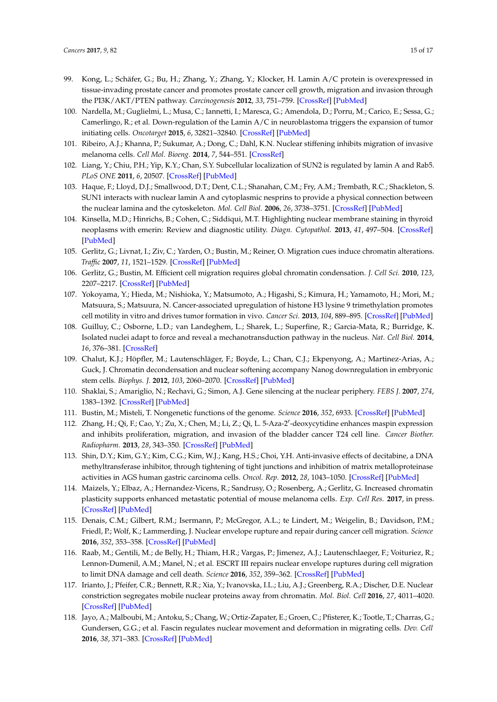- <span id="page-14-0"></span>99. Kong, L.; Schäfer, G.; Bu, H.; Zhang, Y.; Zhang, Y.; Klocker, H. Lamin A/C protein is overexpressed in tissue-invading prostate cancer and promotes prostate cancer cell growth, migration and invasion through the PI3K/AKT/PTEN pathway. *Carcinogenesis* **2012**, *33*, 751–759. [\[CrossRef\]](http://dx.doi.org/10.1093/carcin/bgs022) [\[PubMed\]](http://www.ncbi.nlm.nih.gov/pubmed/22301279)
- <span id="page-14-1"></span>100. Nardella, M.; Guglielmi, L.; Musa, C.; Iannetti, I.; Maresca, G.; Amendola, D.; Porru, M.; Carico, E.; Sessa, G.; Camerlingo, R.; et al. Down-regulation of the Lamin A/C in neuroblastoma triggers the expansion of tumor initiating cells. *Oncotarget* **2015**, *6*, 32821–32840. [\[CrossRef\]](http://dx.doi.org/10.18632/oncotarget.5104) [\[PubMed\]](http://www.ncbi.nlm.nih.gov/pubmed/26439802)
- <span id="page-14-2"></span>101. Ribeiro, A.J.; Khanna, P.; Sukumar, A.; Dong, C.; Dahl, K.N. Nuclear stiffening inhibits migration of invasive melanoma cells. *Cell Mol. Bioeng.* **2014**, *7*, 544–551. [\[CrossRef\]](http://dx.doi.org/10.1007/s12195-014-0358-3)
- <span id="page-14-3"></span>102. Liang, Y.; Chiu, P.H.; Yip, K.Y.; Chan, S.Y. Subcellular localization of SUN2 is regulated by lamin A and Rab5. *PLoS ONE* **2011**, *6*, 20507. [\[CrossRef\]](http://dx.doi.org/10.1371/journal.pone.0020507) [\[PubMed\]](http://www.ncbi.nlm.nih.gov/pubmed/21655223)
- <span id="page-14-4"></span>103. Haque, F.; Lloyd, D.J.; Smallwood, D.T.; Dent, C.L.; Shanahan, C.M.; Fry, A.M.; Trembath, R.C.; Shackleton, S. SUN1 interacts with nuclear lamin A and cytoplasmic nesprins to provide a physical connection between the nuclear lamina and the cytoskeleton. *Mol. Cell Biol.* **2006**, *26*, 3738–3751. [\[CrossRef\]](http://dx.doi.org/10.1128/MCB.26.10.3738-3751.2006) [\[PubMed\]](http://www.ncbi.nlm.nih.gov/pubmed/16648470)
- <span id="page-14-5"></span>104. Kinsella, M.D.; Hinrichs, B.; Cohen, C.; Siddiqui, M.T. Highlighting nuclear membrane staining in thyroid neoplasms with emerin: Review and diagnostic utility. *Diagn. Cytopathol.* **2013**, *41*, 497–504. [\[CrossRef\]](http://dx.doi.org/10.1002/dc.22870) [\[PubMed\]](http://www.ncbi.nlm.nih.gov/pubmed/22644998)
- <span id="page-14-6"></span>105. Gerlitz, G.; Livnat, I.; Ziv, C.; Yarden, O.; Bustin, M.; Reiner, O. Migration cues induce chromatin alterations. *Traffic* **2007**, *11*, 1521–1529. [\[CrossRef\]](http://dx.doi.org/10.1111/j.1600-0854.2007.00638.x) [\[PubMed\]](http://www.ncbi.nlm.nih.gov/pubmed/17822403)
- 106. Gerlitz, G.; Bustin, M. Efficient cell migration requires global chromatin condensation. *J. Cell Sci.* **2010**, *123*, 2207–2217. [\[CrossRef\]](http://dx.doi.org/10.1242/jcs.058271) [\[PubMed\]](http://www.ncbi.nlm.nih.gov/pubmed/20530575)
- <span id="page-14-7"></span>107. Yokoyama, Y.; Hieda, M.; Nishioka, Y.; Matsumoto, A.; Higashi, S.; Kimura, H.; Yamamoto, H.; Mori, M.; Matsuura, S.; Matsuura, N. Cancer-associated upregulation of histone H3 lysine 9 trimethylation promotes cell motility in vitro and drives tumor formation in vivo. *Cancer Sci.* **2013**, *104*, 889–895. [\[CrossRef\]](http://dx.doi.org/10.1111/cas.12166) [\[PubMed\]](http://www.ncbi.nlm.nih.gov/pubmed/23557258)
- <span id="page-14-8"></span>108. Guilluy, C.; Osborne, L.D.; van Landeghem, L.; Sharek, L.; Superfine, R.; Garcia-Mata, R.; Burridge, K. Isolated nuclei adapt to force and reveal a mechanotransduction pathway in the nucleus. *Nat. Cell Biol.* **2014**, *16*, 376–381. [\[CrossRef\]](http://dx.doi.org/10.1038/ncb2927)
- <span id="page-14-9"></span>109. Chalut, K.J.; Höpfler, M.; Lautenschläger, F.; Boyde, L.; Chan, C.J.; Ekpenyong, A.; Martinez-Arias, A.; Guck, J. Chromatin decondensation and nuclear softening accompany Nanog downregulation in embryonic stem cells. *Biophys. J.* **2012**, *103*, 2060–2070. [\[CrossRef\]](http://dx.doi.org/10.1016/j.bpj.2012.10.015) [\[PubMed\]](http://www.ncbi.nlm.nih.gov/pubmed/23200040)
- <span id="page-14-10"></span>110. Shaklai, S.; Amariglio, N.; Rechavi, G.; Simon, A.J. Gene silencing at the nuclear periphery. *FEBS J.* **2007**, *274*, 1383–1392. [\[CrossRef\]](http://dx.doi.org/10.1111/j.1742-4658.2007.05697.x) [\[PubMed\]](http://www.ncbi.nlm.nih.gov/pubmed/17489096)
- <span id="page-14-11"></span>111. Bustin, M.; Misteli, T. Nongenetic functions of the genome. *Science* **2016**, *352*, 6933. [\[CrossRef\]](http://dx.doi.org/10.1126/science.aad6933) [\[PubMed\]](http://www.ncbi.nlm.nih.gov/pubmed/27151873)
- <span id="page-14-12"></span>112. Zhang, H.; Qi, F.; Cao, Y.; Zu, X.; Chen, M.; Li, Z.; Qi, L. 5-Aza-2'-deoxycytidine enhances maspin expression and inhibits proliferation, migration, and invasion of the bladder cancer T24 cell line. *Cancer Biother. Radiopharm.* **2013**, *28*, 343–350. [\[CrossRef\]](http://dx.doi.org/10.1089/cbr.2012.1303) [\[PubMed\]](http://www.ncbi.nlm.nih.gov/pubmed/23570371)
- <span id="page-14-13"></span>113. Shin, D.Y.; Kim, G.Y.; Kim, C.G.; Kim, W.J.; Kang, H.S.; Choi, Y.H. Anti-invasive effects of decitabine, a DNA methyltransferase inhibitor, through tightening of tight junctions and inhibition of matrix metalloproteinase activities in AGS human gastric carcinoma cells. *Oncol. Rep.* **2012**, *28*, 1043–1050. [\[CrossRef\]](http://dx.doi.org/10.3892/or.2012.1858) [\[PubMed\]](http://www.ncbi.nlm.nih.gov/pubmed/22710922)
- <span id="page-14-14"></span>114. Maizels, Y.; Elbaz, A.; Hernandez-Vicens, R.; Sandrusy, O.; Rosenberg, A.; Gerlitz, G. Increased chromatin plasticity supports enhanced metastatic potential of mouse melanoma cells. *Exp. Cell Res.* **2017**, in press. [\[CrossRef\]](http://dx.doi.org/10.1016/j.yexcr.2017.05.025) [\[PubMed\]](http://www.ncbi.nlm.nih.gov/pubmed/28551377)
- <span id="page-14-15"></span>115. Denais, C.M.; Gilbert, R.M.; Isermann, P.; McGregor, A.L.; te Lindert, M.; Weigelin, B.; Davidson, P.M.; Friedl, P.; Wolf, K.; Lammerding, J. Nuclear envelope rupture and repair during cancer cell migration. *Science* **2016**, *352*, 353–358. [\[CrossRef\]](http://dx.doi.org/10.1126/science.aad7297) [\[PubMed\]](http://www.ncbi.nlm.nih.gov/pubmed/27013428)
- <span id="page-14-16"></span>116. Raab, M.; Gentili, M.; de Belly, H.; Thiam, H.R.; Vargas, P.; Jimenez, A.J.; Lautenschlaeger, F.; Voituriez, R.; Lennon-Dumenil, A.M.; Manel, N.; et al. ESCRT III repairs nuclear envelope ruptures during cell migration to limit DNA damage and cell death. *Science* **2016**, *352*, 359–362. [\[CrossRef\]](http://dx.doi.org/10.1126/science.aad7611) [\[PubMed\]](http://www.ncbi.nlm.nih.gov/pubmed/27013426)
- <span id="page-14-17"></span>117. Irianto, J.; Pfeifer, C.R.; Bennett, R.R.; Xia, Y.; Ivanovska, I.L.; Liu, A.J.; Greenberg, R.A.; Discher, D.E. Nuclear constriction segregates mobile nuclear proteins away from chromatin. *Mol. Biol. Cell* **2016**, *27*, 4011–4020. [\[CrossRef\]](http://dx.doi.org/10.1091/mbc.E16-06-0428) [\[PubMed\]](http://www.ncbi.nlm.nih.gov/pubmed/27798234)
- <span id="page-14-18"></span>118. Jayo, A.; Malboubi, M.; Antoku, S.; Chang, W.; Ortiz-Zapater, E.; Groen, C.; Pfisterer, K.; Tootle, T.; Charras, G.; Gundersen, G.G.; et al. Fascin regulates nuclear movement and deformation in migrating cells. *Dev. Cell* **2016**, *38*, 371–383. [\[CrossRef\]](http://dx.doi.org/10.1016/j.devcel.2016.07.021) [\[PubMed\]](http://www.ncbi.nlm.nih.gov/pubmed/27554857)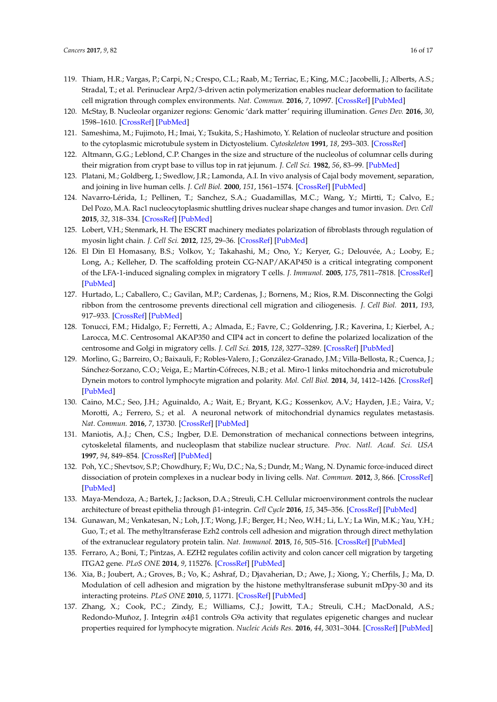- <span id="page-15-0"></span>119. Thiam, H.R.; Vargas, P.; Carpi, N.; Crespo, C.L.; Raab, M.; Terriac, E.; King, M.C.; Jacobelli, J.; Alberts, A.S.; Stradal, T.; et al. Perinuclear Arp2/3-driven actin polymerization enables nuclear deformation to facilitate cell migration through complex environments. *Nat. Commun.* **2016**, *7*, 10997. [\[CrossRef\]](http://dx.doi.org/10.1038/ncomms10997) [\[PubMed\]](http://www.ncbi.nlm.nih.gov/pubmed/26975831)
- <span id="page-15-1"></span>120. McStay, B. Nucleolar organizer regions: Genomic 'dark matter' requiring illumination. *Genes Dev.* **2016**, *30*, 1598–1610. [\[CrossRef\]](http://dx.doi.org/10.1101/gad.283838.116) [\[PubMed\]](http://www.ncbi.nlm.nih.gov/pubmed/27474438)
- <span id="page-15-2"></span>121. Sameshima, M.; Fujimoto, H.; Imai, Y.; Tsukita, S.; Hashimoto, Y. Relation of nucleolar structure and position to the cytoplasmic microtubule system in Dictyostelium. *Cytoskeleton* **1991**, *18*, 293–303. [\[CrossRef\]](http://dx.doi.org/10.1002/cm.970180406)
- <span id="page-15-3"></span>122. Altmann, G.G.; Leblond, C.P. Changes in the size and structure of the nucleolus of columnar cells during their migration from crypt base to villus top in rat jejunum. *J. Cell Sci.* **1982**, *56*, 83–99. [\[PubMed\]](http://www.ncbi.nlm.nih.gov/pubmed/7166579)
- <span id="page-15-4"></span>123. Platani, M.; Goldberg, I.; Swedlow, J.R.; Lamonda, A.I. In vivo analysis of Cajal body movement, separation, and joining in live human cells. *J. Cell Biol.* **2000**, *151*, 1561–1574. [\[CrossRef\]](http://dx.doi.org/10.1083/jcb.151.7.1561) [\[PubMed\]](http://www.ncbi.nlm.nih.gov/pubmed/11134083)
- <span id="page-15-5"></span>124. Navarro-Lérida, I.; Pellinen, T.; Sanchez, S.A.; Guadamillas, M.C.; Wang, Y.; Mirtti, T.; Calvo, E.; Del Pozo, M.A. Rac1 nucleocytoplasmic shuttling drives nuclear shape changes and tumor invasion. *Dev. Cell* **2015**, *32*, 318–334. [\[CrossRef\]](http://dx.doi.org/10.1016/j.devcel.2014.12.019) [\[PubMed\]](http://www.ncbi.nlm.nih.gov/pubmed/25640224)
- <span id="page-15-6"></span>125. Lobert, V.H.; Stenmark, H. The ESCRT machinery mediates polarization of fibroblasts through regulation of myosin light chain. *J. Cell Sci.* **2012**, *125*, 29–36. [\[CrossRef\]](http://dx.doi.org/10.1242/jcs.088310) [\[PubMed\]](http://www.ncbi.nlm.nih.gov/pubmed/22266905)
- <span id="page-15-7"></span>126. El Din El Homasany, B.S.; Volkov, Y.; Takahashi, M.; Ono, Y.; Keryer, G.; Delouvée, A.; Looby, E.; Long, A.; Kelleher, D. The scaffolding protein CG-NAP/AKAP450 is a critical integrating component of the LFA-1-induced signaling complex in migratory T cells. *J. Immunol.* **2005**, *175*, 7811–7818. [\[CrossRef\]](http://dx.doi.org/10.4049/jimmunol.175.12.7811) [\[PubMed\]](http://www.ncbi.nlm.nih.gov/pubmed/16339516)
- <span id="page-15-8"></span>127. Hurtado, L.; Caballero, C.; Gavilan, M.P.; Cardenas, J.; Bornens, M.; Rios, R.M. Disconnecting the Golgi ribbon from the centrosome prevents directional cell migration and ciliogenesis. *J. Cell Biol.* **2011**, *193*, 917–933. [\[CrossRef\]](http://dx.doi.org/10.1083/jcb.201011014) [\[PubMed\]](http://www.ncbi.nlm.nih.gov/pubmed/21606206)
- <span id="page-15-9"></span>128. Tonucci, F.M.; Hidalgo, F.; Ferretti, A.; Almada, E.; Favre, C.; Goldenring, J.R.; Kaverina, I.; Kierbel, A.; Larocca, M.C. Centrosomal AKAP350 and CIP4 act in concert to define the polarized localization of the centrosome and Golgi in migratory cells. *J. Cell Sci.* **2015**, *128*, 3277–3289. [\[CrossRef\]](http://dx.doi.org/10.1242/jcs.170878) [\[PubMed\]](http://www.ncbi.nlm.nih.gov/pubmed/26208639)
- <span id="page-15-10"></span>129. Morlino, G.; Barreiro, O.; Baixauli, F.; Robles-Valero, J.; González-Granado, J.M.; Villa-Bellosta, R.; Cuenca, J.; Sánchez-Sorzano, C.O.; Veiga, E.; Martín-Cófreces, N.B.; et al. Miro-1 links mitochondria and microtubule Dynein motors to control lymphocyte migration and polarity. *Mol. Cell Biol.* **2014**, *34*, 1412–1426. [\[CrossRef\]](http://dx.doi.org/10.1128/MCB.01177-13) [\[PubMed\]](http://www.ncbi.nlm.nih.gov/pubmed/24492963)
- <span id="page-15-11"></span>130. Caino, M.C.; Seo, J.H.; Aguinaldo, A.; Wait, E.; Bryant, K.G.; Kossenkov, A.V.; Hayden, J.E.; Vaira, V.; Morotti, A.; Ferrero, S.; et al. A neuronal network of mitochondrial dynamics regulates metastasis. *Nat. Commun.* **2016**, *7*, 13730. [\[CrossRef\]](http://dx.doi.org/10.1038/ncomms13730) [\[PubMed\]](http://www.ncbi.nlm.nih.gov/pubmed/27991488)
- <span id="page-15-12"></span>131. Maniotis, A.J.; Chen, C.S.; Ingber, D.E. Demonstration of mechanical connections between integrins, cytoskeletal filaments, and nucleoplasm that stabilize nuclear structure. *Proc. Natl. Acad. Sci. USA* **1997**, *94*, 849–854. [\[CrossRef\]](http://dx.doi.org/10.1073/pnas.94.3.849) [\[PubMed\]](http://www.ncbi.nlm.nih.gov/pubmed/9023345)
- <span id="page-15-13"></span>132. Poh, Y.C.; Shevtsov, S.P.; Chowdhury, F.; Wu, D.C.; Na, S.; Dundr, M.; Wang, N. Dynamic force-induced direct dissociation of protein complexes in a nuclear body in living cells. *Nat. Commun.* **2012**, *3*, 866. [\[CrossRef\]](http://dx.doi.org/10.1038/ncomms1873) [\[PubMed\]](http://www.ncbi.nlm.nih.gov/pubmed/22643893)
- <span id="page-15-14"></span>133. Maya-Mendoza, A.; Bartek, J.; Jackson, D.A.; Streuli, C.H. Cellular microenvironment controls the nuclear architecture of breast epithelia through β1-integrin. *Cell Cycle* **2016**, *15*, 345–356. [\[CrossRef\]](http://dx.doi.org/10.1080/15384101.2015.1121354) [\[PubMed\]](http://www.ncbi.nlm.nih.gov/pubmed/26818565)
- <span id="page-15-15"></span>134. Gunawan, M.; Venkatesan, N.; Loh, J.T.; Wong, J.F.; Berger, H.; Neo, W.H.; Li, L.Y.; La Win, M.K.; Yau, Y.H.; Guo, T.; et al. The methyltransferase Ezh2 controls cell adhesion and migration through direct methylation of the extranuclear regulatory protein talin. *Nat. Immunol.* **2015**, *16*, 505–516. [\[CrossRef\]](http://dx.doi.org/10.1038/ni.3125) [\[PubMed\]](http://www.ncbi.nlm.nih.gov/pubmed/25751747)
- <span id="page-15-16"></span>135. Ferraro, A.; Boni, T.; Pintzas, A. EZH2 regulates cofilin activity and colon cancer cell migration by targeting ITGA2 gene. *PLoS ONE* **2014**, *9*, 115276. [\[CrossRef\]](http://dx.doi.org/10.1371/journal.pone.0115276) [\[PubMed\]](http://www.ncbi.nlm.nih.gov/pubmed/25549357)
- <span id="page-15-17"></span>136. Xia, B.; Joubert, A.; Groves, B.; Vo, K.; Ashraf, D.; Djavaherian, D.; Awe, J.; Xiong, Y.; Cherfils, J.; Ma, D. Modulation of cell adhesion and migration by the histone methyltransferase subunit mDpy-30 and its interacting proteins. *PLoS ONE* **2010**, *5*, 11771. [\[CrossRef\]](http://dx.doi.org/10.1371/journal.pone.0011771) [\[PubMed\]](http://www.ncbi.nlm.nih.gov/pubmed/20668708)
- <span id="page-15-18"></span>137. Zhang, X.; Cook, P.C.; Zindy, E.; Williams, C.J.; Jowitt, T.A.; Streuli, C.H.; MacDonald, A.S.; Redondo-Muñoz, J. Integrin α4β1 controls G9a activity that regulates epigenetic changes and nuclear properties required for lymphocyte migration. *Nucleic Acids Res.* **2016**, *44*, 3031–3044. [\[CrossRef\]](http://dx.doi.org/10.1093/nar/gkv1348) [\[PubMed\]](http://www.ncbi.nlm.nih.gov/pubmed/26657637)